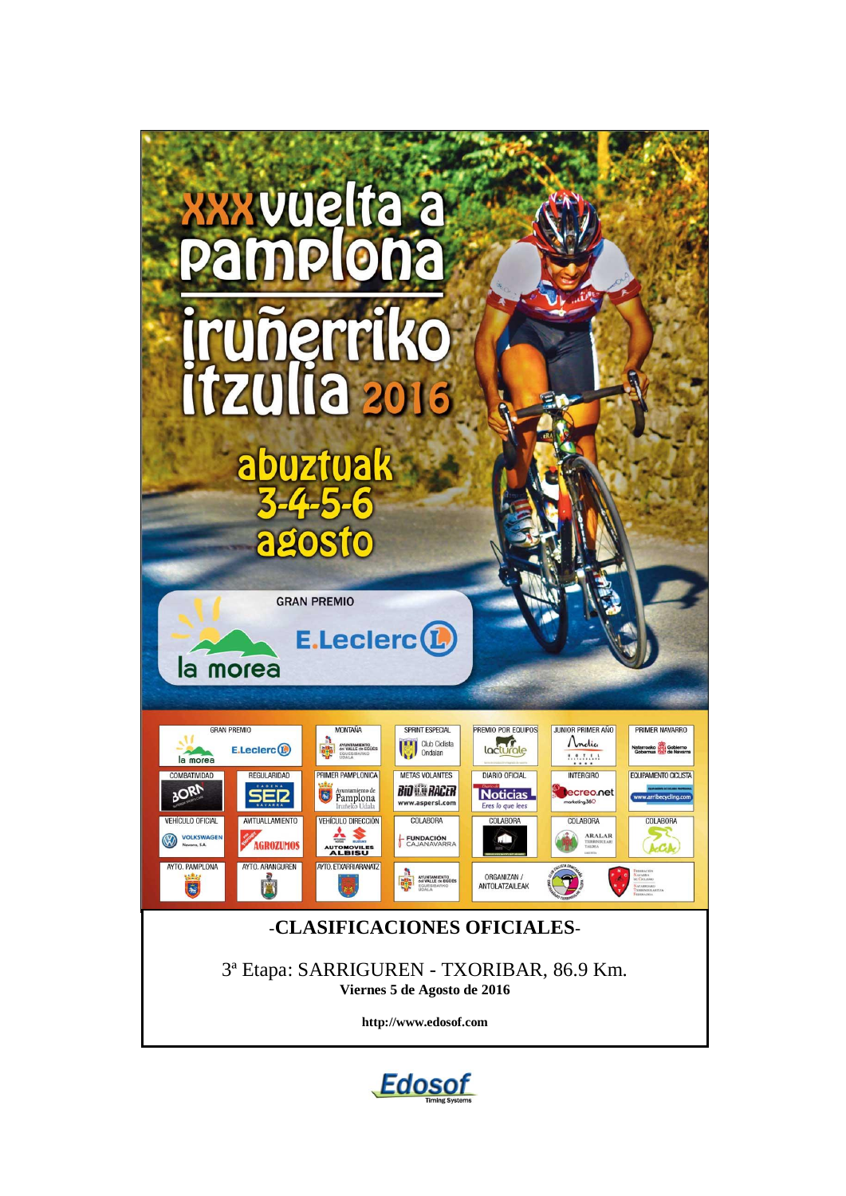

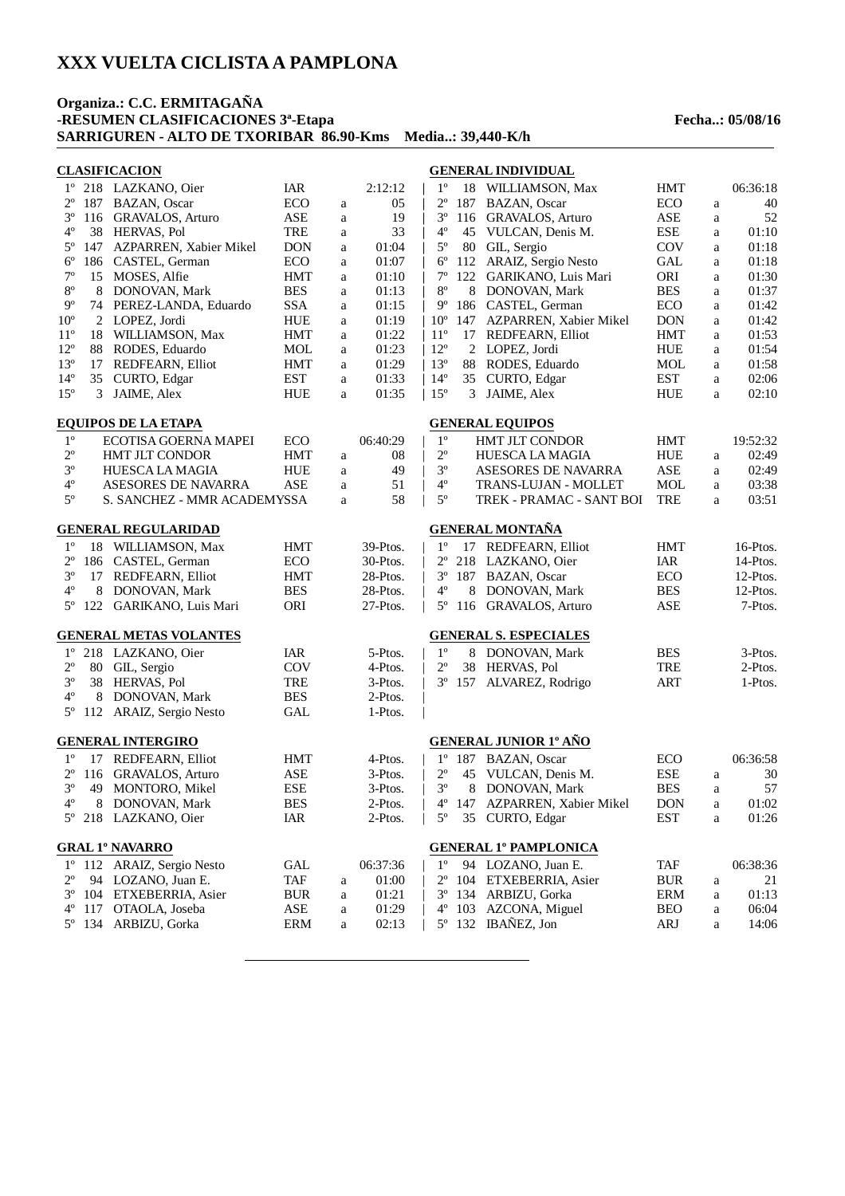5º 134 ARBIZU, Gorka ERM a 02:13 |

#### **Organiza.: C.C. ERMITAGAÑA -RESUMEN CLASIFICACIONES 3ª-Etapa Fecha..: 05/08/16 SARRIGUREN - ALTO DE TXORIBAR 86.90-Kms Media..: 39,440-K/h**

#### **CLASIFICACION** 1º 218 LAZKANO, Oier IAR 2:12:12 |  $2^{\circ}$  187 BAZAN, Oscar  $2^{\circ}$  ECO a 05 |<br> $3^{\circ}$  116 GRAVAI OS Arturo  $ABF = a$  19 | 3º 116 GRAVALOS, Arturo ASE a 19 | 4° 38 HERVAS, Pol TRE a 33 |<br>5° 147 AZPARREN. Xabier Mikel DON a 01:04 | 5º 147 AZPARREN, Xabier Mikel DON a 01:04 | 6º 186 CASTEL, German ECO a 01:07 | 7º 15 MOSES, Alfie HMT a 01:10 | 8<sup>°</sup> 8 DONOVAN, Mark BES a 01:13 |<br>9<sup>°</sup> 74 PEREZ-LANDA, Eduardo SSA a 01:15 | 9<sup>o</sup> 74 PEREZ-LANDA, Eduardo SSA a 01:15 | 9<sup>o</sup><br>10<sup>o</sup> 2 LOPEZ, Jordi HUE a 01:19 | 10<sup>o</sup> 10º 2 LOPEZ, Jordi HUE a 01:19 | 11° 18 WILLIAMSON, Max <br>
12° 88 RODES, Eduardo <br>
12° 112° 112° 12° 88 RODES, Eduardo MOL a 01:23 | 12°<br>13° 17 REDFEARN Elliot HMT a 01:29 | 13° 13º 17 REDFEARN, Elliot HMT a 01:29 | 14<sup>°</sup> CURTO, Edgar **EST** a 15<sup>°</sup> 3 JAIME, Alex HUE a 01:35 | 15<sup>°</sup> **GENERAL INDIVIDUAL** 1º 18 WILLIAMSON, Max HMT 06:36:18  $2^{\circ}$  187 BAZAN, Oscar ECO a 40<br> $3^{\circ}$  116 GRAVALOS Arturo ASE a 52 3<sup>o</sup> 116 GRAVALOS, Arturo ASE a 52<br>4<sup>o</sup> 45 VULCAN Denis M. BSE a 01:10 4<sup>°</sup> 45 VULCAN, Denis M. ESE a 01:10<br>5<sup>°</sup> 80 GIL Sergio COV a 01:18 5<sup>o</sup> 80 GIL, Sergio COV a<br>6<sup>o</sup> 112 ARAIZ, Sergio Nesto GAL a 6º 112 ARAIZ, Sergio Nesto GAL a 01:18 7º 122 GARIKANO, Luis Mari ORI a 01:30 8<sup>o</sup> 8 DONOVAN, Mark BES a 01:37<br>
9<sup>o</sup> 186 CASTEL, German BCO a 01:42 9º 186 CASTEL, German ECO a 01:42 AZPARREN, Xabier Mikel DON a 17 REDFEARN, Elliot HMT a 01:53<br>2 LOPEZ Jordi HIJE a 01:54 12º 2 LOPEZ, Jordi HUE a 01:54 138 RODES, Eduardo 1:58<br>
135 CURTO, Edgar 1987 EST a 02:06 14<sup>°</sup> CURTO, Edgar EST a 3 JAIME, Alex HUE a 02:10 **EQUIPOS DE LA ETAPA** 1º ECOTISA GOERNA MAPEI ECO 06:40:29<br>2º HMT JLT CONDOR HMT a 08 2º HMT JLT CONDOR HMT a 08 | 3<sup>°</sup> HUESCA LA MAGIA HUE a 49 |<br>4° ASESORES DE NAVARRA ASE a 51 | 4º ASESORES DE NAVARRA ASE a 51 |<br>5º S. SANCHEZ - MMR ACADEMYSSA a 58 | S. SANCHEZ - MMR ACADEMYSSA a 58 | **GENERAL EQUIPOS** 1º HMT JLT CONDOR HMT 19:52:32<br>2º HUESCA LA MAGIA HUE a 02:49 HUESCA LA MAGIA PHUE a 3<sup>°</sup> ASESORES DE NAVARRA ASE a 02:49<br>4<sup>°</sup> TRANS-LUJAN - MOLLET MOL a 03:38 4° TRANS-LUJAN - MOLLET MOL a 03:38<br>5° TREK - PRAMAC - SANT BOI TRE a 03:51 TREK - PRAMAC - SANT BOI TRE a **GENERAL REGULARIDAD** 1º 18 WILLIAMSON, Max HMT 39-Ptos. | 2º 186 CASTEL, German ECO 30-Ptos. | 3<sup>°</sup> 17 REDFEARN, Elliot HMT 28-Ptos.<br>
4° 8 DONOVAN Mark BES 28-Ptos. 8 DONOVAN, Mark BES 28-Ptos. 5º 122 GARIKANO, Luis Mari ORI 27-Ptos. **GENERAL MONTAÑA** 1º 17 REDFEARN, Elliot HMT 16-Ptos.<br>2º 218 LAZKANO Oier 14R 14-Ptos. 2º 218 LAZKANO, Oier IAR 14-Ptos. 3º 187 BAZAN, Oscar ECO 12-Ptos. 4° 8 DONOVAN, Mark<br>5° 116 GRAVALOS, Artur GRAVALOS, Arturo ASE 7-Ptos. **GENERAL METAS VOLANTES** 1º 218 LAZKANO, Oier JAR 5-Ptos.<br>
2º 80 GIL Sergio COV 4-Ptos. 80 GIL, Sergio 3<sup>°</sup> 38 HERVAS, Pol TRE 3-Ptos. 4<sup>o</sup> 8 DONOVAN, Mark BES 2-Ptos.<br>
5<sup>o</sup> 112 ARAIZ Sergio Nesto GAI 1-Ptos. 112 ARAIZ, Sergio Nesto GAL **GENERAL S. ESPECIALES** 1º 8 DONOVAN, Mark BES 3-Ptos.<br>
2º 38 HERVAS, Pol TRE 2-Ptos. 38 HERVAS Pol 3º 157 ALVAREZ, Rodrigo ART 1-Ptos. **GENERAL INTERGIRO** 1º 17 REDFEARN, Elliot HMT 4-Ptos.<br>
2º 116 GRAVALOS Arturo ASE 3-Ptos. GRAVALOS, Arturo ASE 3-Ptos. 3º 49 MONTORO, Mikel ESE 3-Ptos. | 4 8 DONOVAN, Mark BES 2-Ptos.<br>18 LAZKANO. Oier 1AR 2-Ptos. 5º 218 LAZKANO, Oier IAR 2-Ptos. | **GENERAL JUNIOR 1º AÑO** 1º 187 BAZAN, Oscar ECO 06:36:58 VULCAN, Denis M. ESE a 3<sup>°</sup> 8 DONOVAN, Mark BES a 57<br>4<sup>°</sup> 147 AZPARREN Xabier Mikel DON a 01:02 4º 147 AZPARREN, Xabier Mikel DON a 01:02 35 CURTO, Edgar EST a **GRAL 1º NAVARRO**  $1^{\circ}$  112 ARAIZ, Sergio Nesto GAL 06:37:36<br>  $2^{\circ}$  94 LOZANO Juan E TAE a 01:00  $2^{\circ}$  94 LOZANO, Juan E. TAF a 01:00<br> $3^{\circ}$  104 ETXEBERRIA Asier BUR a 01:21 3º 104 ETXEBERRIA, Asier BUR a 01:21 | OTAOLA, Joseba ASE a 01:29 | **GENERAL 1º PAMPLONICA** 1° 94 LOZANO, Juan E. TAF 06:38:36<br>
2° 104 ETXEBERRIA Asier BUR a 21 2<sup>o</sup> 104 ETXEBERRIA, Asier BUR a 21<br>3<sup>o</sup> 134 ARBIZU. Gorka ERM a 01:13 3º 134 ARBIZU, Gorka ERM a 01:13 AZCONA, Miguel

5º 132 IBAÑEZ, Jon ARJ a 14:06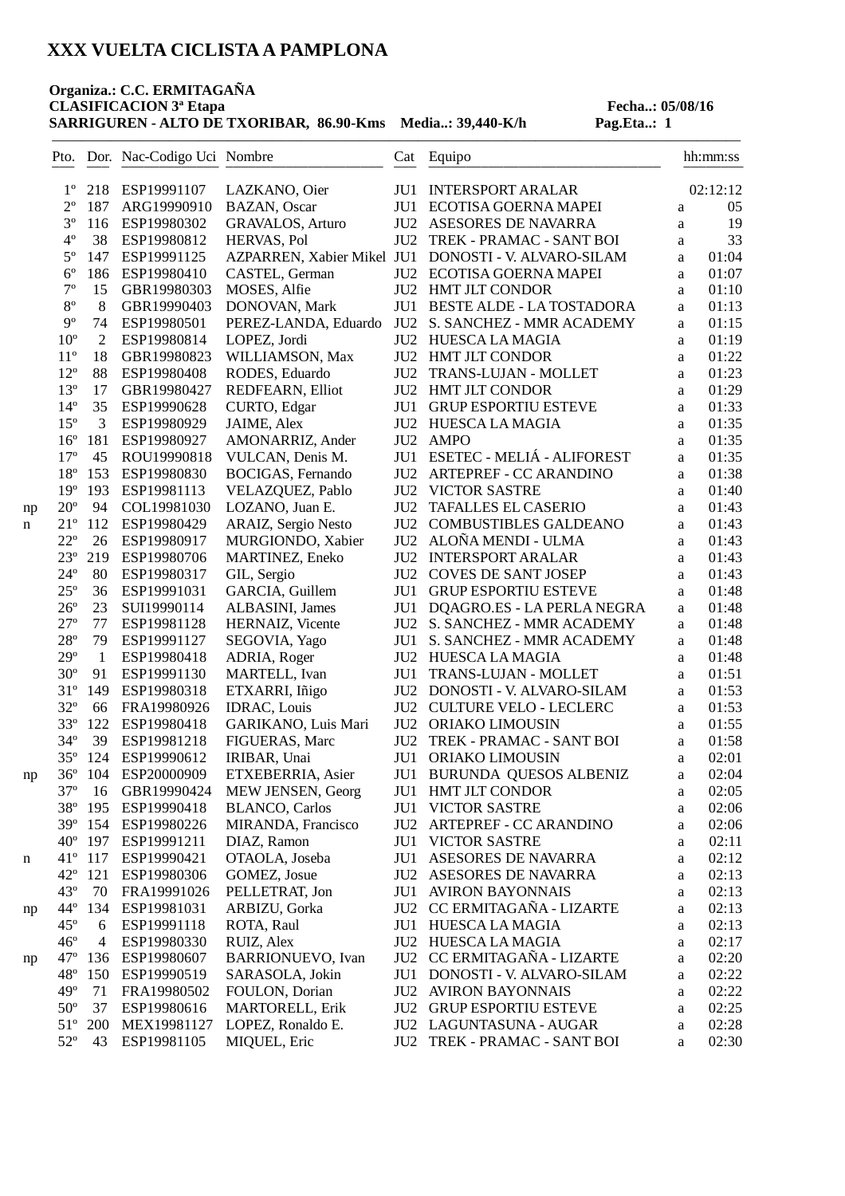# **Organiza.: C.C. ERMITAGAÑA**

**CLASIFICACION** <sup>3ª</sup> Etapa<br> **SARRIGUREN** - ALTO DE TXORIBAR, 86.90-Kms Media..: 39,440-K/h Pag.Eta..: 1 **SARRIGUREN - ALTO DE TXORIBAR, 86.90-Kms Media..: 39,440-K/h** 

|    |              |                | Pto. Dor. Nac-Codigo Uci Nombre |                            |                 | Cat Equipo<br>_____________                        |              | hh:mm:ss |
|----|--------------|----------------|---------------------------------|----------------------------|-----------------|----------------------------------------------------|--------------|----------|
|    | $1^{\circ}$  | 218            | ESP19991107                     | LAZKANO, Oier              |                 | JU1 INTERSPORT ARALAR                              |              | 02:12:12 |
|    | $2^{\circ}$  | 187            | ARG19990910                     | BAZAN, Oscar               |                 | JU1 ECOTISA GOERNA MAPEI                           | a            | 05       |
|    | $3^{\circ}$  | 116            | ESP19980302                     | <b>GRAVALOS, Arturo</b>    |                 | JU2 ASESORES DE NAVARRA                            | a            | 19       |
|    | $4^{\circ}$  | 38             | ESP19980812                     | HERVAS, Pol                | JU2             | TREK - PRAMAC - SANT BOI                           | a            | 33       |
|    | $5^{\circ}$  | 147            | ESP19991125                     | AZPARREN, Xabier Mikel JU1 |                 | DONOSTI - V. ALVARO-SILAM                          | a            | 01:04    |
|    | $6^{\circ}$  | 186            | ESP19980410                     | CASTEL, German             |                 | JU2 ECOTISA GOERNA MAPEI                           | a            | 01:07    |
|    | $7^{\circ}$  | 15             | GBR19980303                     | MOSES, Alfie               |                 | <b>JU2 HMT JLT CONDOR</b>                          | a            | 01:10    |
|    | $8^{\circ}$  | $\,8\,$        | GBR19990403                     | DONOVAN, Mark              | JU1             | <b>BESTE ALDE - LA TOSTADORA</b>                   | a            | 01:13    |
|    | $9^{\circ}$  | 74             | ESP19980501                     | PEREZ-LANDA, Eduardo       | JU <sub>2</sub> | S. SANCHEZ - MMR ACADEMY                           | a            | 01:15    |
|    | $10^{\circ}$ | $\overline{2}$ | ESP19980814                     | LOPEZ, Jordi               | JU2             | <b>HUESCA LA MAGIA</b>                             | $\mathbf{a}$ | 01:19    |
|    | $11^{\circ}$ | 18             | GBR19980823                     | WILLIAMSON, Max            |                 | <b>JU2 HMT JLT CONDOR</b>                          | a            | 01:22    |
|    | $12^{\circ}$ | 88             | ESP19980408                     | RODES, Eduardo             | JU <sub>2</sub> | TRANS-LUJAN - MOLLET                               | a            | 01:23    |
|    | $13^{\circ}$ | 17             | GBR19980427                     | REDFEARN, Elliot           |                 | JU2 HMT JLT CONDOR                                 | a            | 01:29    |
|    | $14^{\circ}$ | 35             | ESP19990628                     | CURTO, Edgar               | JU1             | <b>GRUP ESPORTIU ESTEVE</b>                        | a            | 01:33    |
|    | $15^{\circ}$ | 3              | ESP19980929                     | JAIME, Alex                |                 | JU2 HUESCA LA MAGIA                                | a            | 01:35    |
|    | $16^{\circ}$ | 181            | ESP19980927                     | AMONARRIZ, Ander           |                 | JU2 AMPO                                           | a            | 01:35    |
|    | $17^{\circ}$ | 45             | ROU19990818                     | VULCAN, Denis M.           |                 | JU1 ESETEC - MELIÁ - ALIFOREST                     | a            | 01:35    |
|    | $18^{\circ}$ | 153            | ESP19980830                     | BOCIGAS, Fernando          |                 | JU2 ARTEPREF - CC ARANDINO                         | a            | 01:38    |
|    | $19^{\circ}$ | 193            | ESP19981113                     | VELAZQUEZ, Pablo           |                 | <b>JU2 VICTOR SASTRE</b>                           | a            | 01:40    |
| np | $20^{\circ}$ | 94             | COL19981030                     | LOZANO, Juan E.            | JU <sub>2</sub> | <b>TAFALLES EL CASERIO</b>                         | a            | 01:43    |
| n  | $21^{\circ}$ | 112            | ESP19980429                     | ARAIZ, Sergio Nesto        | JU <sub>2</sub> | <b>COMBUSTIBLES GALDEANO</b>                       | a            | 01:43    |
|    | $22^{\circ}$ | 26             | ESP19980917                     | MURGIONDO, Xabier          | JU2             | ALOÑA MENDI - ULMA                                 | a            | 01:43    |
|    | $23^{\circ}$ | 219            | ESP19980706                     | <b>MARTINEZ, Eneko</b>     |                 | <b>JU2 INTERSPORT ARALAR</b>                       | a            | 01:43    |
|    | $24^{\circ}$ | 80             | ESP19980317                     | GIL, Sergio                |                 | JU2 COVES DE SANT JOSEP                            | a            | 01:43    |
|    | $25^{\circ}$ | 36             | ESP19991031                     | GARCIA, Guillem            | JU1             | <b>GRUP ESPORTIU ESTEVE</b>                        | a            | 01:48    |
|    | $26^{\circ}$ | 23             | SUI19990114                     | ALBASINI, James            | JU1             | DQAGRO.ES - LA PERLA NEGRA                         | a            | 01:48    |
|    | $27^{\circ}$ | 77             | ESP19981128                     | HERNAIZ, Vicente           |                 | JU2 S. SANCHEZ - MMR ACADEMY                       | a            | 01:48    |
|    | $28^{\circ}$ | 79             | ESP19991127                     | SEGOVIA, Yago              | JU1             | S. SANCHEZ - MMR ACADEMY                           | a            | 01:48    |
|    | $29^{\circ}$ | $\mathbf{1}$   | ESP19980418                     | ADRIA, Roger               |                 | JU2 HUESCA LA MAGIA                                | a            | 01:48    |
|    | $30^{\circ}$ | 91             | ESP19991130                     | MARTELL, Ivan              | JU1             | TRANS-LUJAN - MOLLET                               | a            | 01:51    |
|    | $31^{\circ}$ | 149            | ESP19980318                     | ETXARRI, Iñigo             | JU <sub>2</sub> | DONOSTI - V. ALVARO-SILAM                          | a            | 01:53    |
|    | $32^{\circ}$ | 66             | FRA19980926                     | <b>IDRAC, Louis</b>        | JU2             | <b>CULTURE VELO - LECLERC</b>                      | a            | 01:53    |
|    | $33^{\circ}$ | 122            | ESP19980418                     | GARIKANO, Luis Mari        | JU2             | ORIAKO LIMOUSIN                                    | a            | 01:55    |
|    | $34^{\circ}$ | 39             | ESP19981218                     | FIGUERAS, Marc             | JU <sub>2</sub> | TREK - PRAMAC - SANT BOI                           | a            | 01:58    |
|    | $35^{\circ}$ | 124            | ESP19990612                     | IRIBAR, Unai               | JU1             | ORIAKO LIMOUSIN                                    | $\mathbf{a}$ | 02:01    |
|    | $36^{\circ}$ | 104            | ESP20000909                     | ETXEBERRIA, Asier          |                 | JU1 BURUNDA QUESOS ALBENIZ                         |              | 02:04    |
| np | $37^{\circ}$ | 16             | GBR19990424                     | MEW JENSEN, Georg          |                 | JU1 HMT JLT CONDOR                                 | а<br>a       | 02:05    |
|    | $38^{\circ}$ | 195            | ESP19990418                     | <b>BLANCO</b> , Carlos     | JU1             | <b>VICTOR SASTRE</b>                               | a            | 02:06    |
|    | $39^\circ$   | 154            | ESP19980226                     | MIRANDA, Francisco         |                 | JU2 ARTEPREF - CC ARANDINO                         | a            | 02:06    |
|    | $40^{\circ}$ | 197            | ESP19991211                     | DIAZ, Ramon                |                 | <b>JU1 VICTOR SASTRE</b>                           | a            | 02:11    |
|    | $41^{\circ}$ | 117            | ESP19990421                     | OTAOLA, Joseba             | JU1             | ASESORES DE NAVARRA                                |              | 02:12    |
| n  | $42^{\circ}$ | 121            | ESP19980306                     | GOMEZ, Josue               |                 | JU2 ASESORES DE NAVARRA                            | a            | 02:13    |
|    | $43^{\circ}$ | 70             | FRA19991026                     | PELLETRAT, Jon             |                 | JU1 AVIRON BAYONNAIS                               | a            | 02:13    |
|    | $44^{\circ}$ | 134            | ESP19981031                     | ARBIZU, Gorka              |                 | JU2 CC ERMITAGAÑA - LIZARTE                        | a            | 02:13    |
| np | $45^{\circ}$ | 6              | ESP19991118                     | ROTA, Raul                 |                 | JU1 HUESCA LA MAGIA                                | a            | 02:13    |
|    | $46^{\circ}$ | $\overline{4}$ |                                 |                            |                 |                                                    | a            |          |
|    | $47^{\circ}$ |                | ESP19980330<br>ESP19980607      | RUIZ, Alex                 |                 | JU2 HUESCA LA MAGIA<br>JU2 CC ERMITAGAÑA - LIZARTE | a            | 02:17    |
| np | $48^{\circ}$ | 136            |                                 | <b>BARRIONUEVO, Ivan</b>   |                 |                                                    | a            | 02:20    |
|    | $49^{\circ}$ | 150            | ESP19990519                     | SARASOLA, Jokin            | JU1             | DONOSTI - V. ALVARO-SILAM                          | a            | 02:22    |
|    |              | 71             | FRA19980502                     | FOULON, Dorian             |                 | <b>JU2 AVIRON BAYONNAIS</b>                        | a            | 02:22    |
|    | $50^{\circ}$ | 37             | ESP19980616                     | <b>MARTORELL, Erik</b>     |                 | JU2 GRUP ESPORTIU ESTEVE                           | $\rm{a}$     | 02:25    |
|    | $51^{\circ}$ | 200            | MEX19981127                     | LOPEZ, Ronaldo E.          |                 | JU2 LAGUNTASUNA - AUGAR                            | $\rm{a}$     | 02:28    |
|    | $52^{\circ}$ | 43             | ESP19981105                     | MIQUEL, Eric               |                 | JU2 TREK - PRAMAC - SANT BOI                       | a            | 02:30    |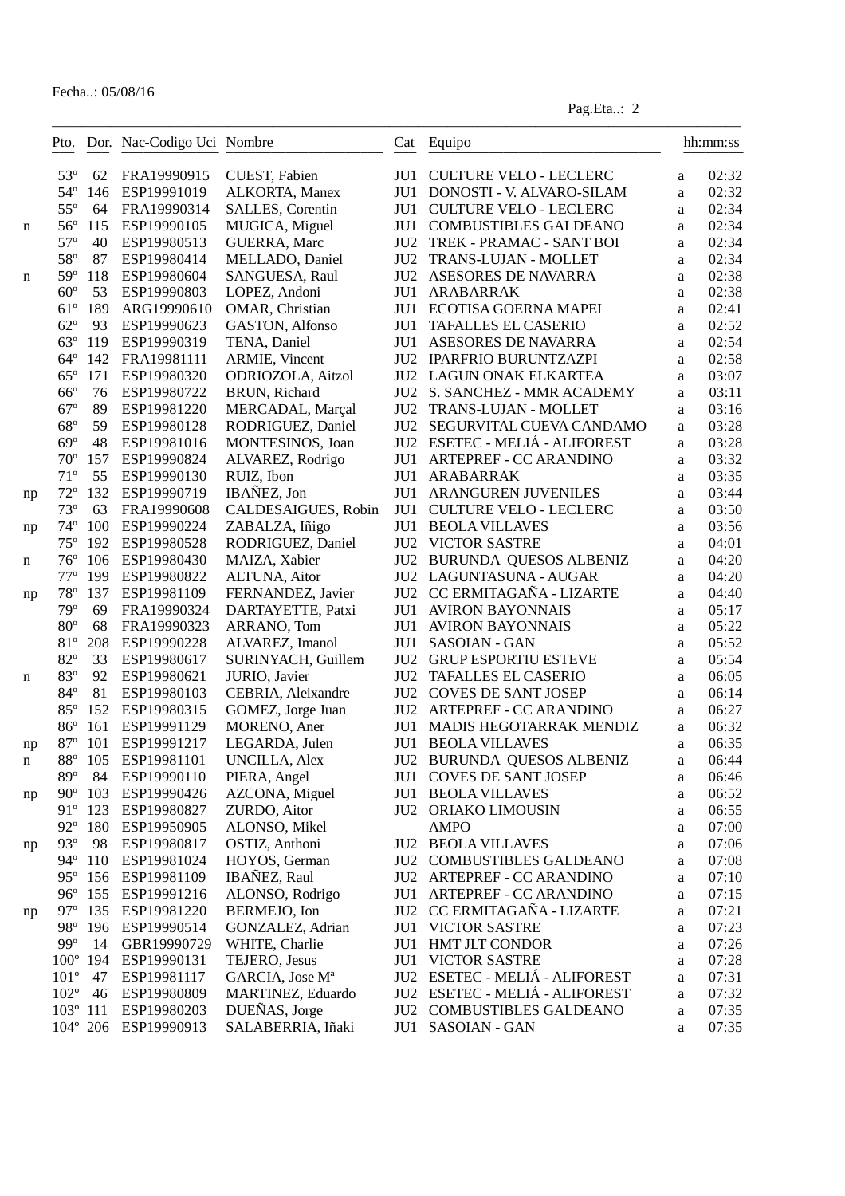|    |                   |         | Pto. Dor. Nac-Codigo Uci Nombre |                             |                 | Cat Equipo                       |        | hh:mm:ss |
|----|-------------------|---------|---------------------------------|-----------------------------|-----------------|----------------------------------|--------|----------|
|    | $53^{\circ}$      | 62      | FRA19990915                     | CUEST, Fabien               | JU1             | <b>CULTURE VELO - LECLERC</b>    | a      | 02:32    |
|    | $54^\circ$        | 146     | ESP19991019                     | ALKORTA, Manex              |                 | JU1 DONOSTI - V. ALVARO-SILAM    | a      | 02:32    |
|    | $55^{\circ}$      | 64      | FRA19990314                     | SALLES, Corentin            | JU1             | <b>CULTURE VELO - LECLERC</b>    | a      | 02:34    |
| n  | $56^{\circ}$      | 115     | ESP19990105                     | MUGICA, Miguel              | JU1             | COMBUSTIBLES GALDEANO            | a      | 02:34    |
|    | $57^{\circ}$      | 40      | ESP19980513                     | GUERRA, Marc                |                 | JU2 TREK - PRAMAC - SANT BOI     | a      | 02:34    |
|    | 58°               | 87      | ESP19980414                     | MELLADO, Daniel             | JU2             | TRANS-LUJAN - MOLLET             | a      | 02:34    |
| n  | 59°               | 118     | ESP19980604                     | SANGUESA, Raul              | JU <sub>2</sub> | ASESORES DE NAVARRA              | a      | 02:38    |
|    | $60^{\circ}$      | 53      | ESP19990803                     | LOPEZ, Andoni               | JU1             | ARABARRAK                        | a      | 02:38    |
|    | $61^{\circ}$      | 189     | ARG19990610                     | OMAR, Christian             | JU1             | ECOTISA GOERNA MAPEI             | a      | 02:41    |
|    | $62^{\circ}$      | 93      | ESP19990623                     | GASTON, Alfonso             | JU1             | <b>TAFALLES EL CASERIO</b>       | a      | 02:52    |
|    | $63^\circ$        | 119     | ESP19990319                     | TENA, Daniel                | JU1             | ASESORES DE NAVARRA              | a      | 02:54    |
|    | $64^\circ$        | 142     | FRA19981111                     | ARMIE, Vincent              |                 | JU2 IPARFRIO BURUNTZAZPI         | a      | 02:58    |
|    | $65^{\circ}$      | 171     | ESP19980320                     | ODRIOZOLA, Aitzol           |                 | <b>JU2 LAGUN ONAK ELKARTEA</b>   | a      | 03:07    |
|    | $66^{\rm o}$      | 76      | ESP19980722                     | BRUN, Richard               | JU2             | S. SANCHEZ - MMR ACADEMY         | a      | 03:11    |
|    | $67^\circ$        | 89      | ESP19981220                     | MERCADAL, Marçal            | JU2             | TRANS-LUJAN - MOLLET             | a      | 03:16    |
|    | $68^{\circ}$      | 59      | ESP19980128                     | RODRIGUEZ, Daniel           | JU2             | SEGURVITAL CUEVA CANDAMO         | a      | 03:28    |
|    | $69^\circ$        | 48      | ESP19981016                     | MONTESINOS, Joan            |                 | JU2 ESETEC - MELIÁ - ALIFOREST   | a      | 03:28    |
|    | $70^{\circ}$      | 157     | ESP19990824                     | ALVAREZ, Rodrigo            | JU1             | ARTEPREF - CC ARANDINO           | a      | 03:32    |
|    | $71^{\circ}$      | 55      | ESP19990130                     | RUIZ, Ibon                  | JU1             | ARABARRAK                        | a      | 03:35    |
| np | $72^{\circ}$      | 132     | ESP19990719                     | IBAÑEZ, Jon                 | JU1             | <b>ARANGUREN JUVENILES</b>       | a      | 03:44    |
|    | $73^{\circ}$      | 63      | FRA19990608                     | CALDESAIGUES, Robin         | JU1             | <b>CULTURE VELO - LECLERC</b>    | a      | 03:50    |
| np | $74^{\circ}$      | 100     | ESP19990224                     | ZABALZA, Iñigo              | JU1             | <b>BEOLA VILLAVES</b>            | a      | 03:56    |
|    | $75^{\circ}$      | 192     | ESP19980528                     | RODRIGUEZ, Daniel           |                 | <b>JU2 VICTOR SASTRE</b>         | a      | 04:01    |
| n  | $76^{\circ}$      | 106     | ESP19980430                     | MAIZA, Xabier               |                 | JU2 BURUNDA QUESOS ALBENIZ       | a      | 04:20    |
|    | $77^{\circ}$      | 199     | ESP19980822                     | ALTUNA, Aitor               |                 | JU2 LAGUNTASUNA - AUGAR          | a      | 04:20    |
| np | $78^{\circ}$      | 137     | ESP19981109                     | FERNANDEZ, Javier           |                 | JU2 CC ERMITAGAÑA - LIZARTE      | a      | 04:40    |
|    | 79°               | 69      | FRA19990324                     | DARTAYETTE, Patxi           |                 | <b>JU1 AVIRON BAYONNAIS</b>      | a      | 05:17    |
|    | $80^{\circ}$      | 68      | FRA19990323                     | ARRANO, Tom                 |                 | <b>JU1 AVIRON BAYONNAIS</b>      | a      | 05:22    |
|    | 81°               | 208     | ESP19990228                     | ALVAREZ, Imanol             | JU1             | <b>SASOIAN - GAN</b>             | a      | 05:52    |
|    | 82°               | 33      | ESP19980617                     | SURINYACH, Guillem          | JU2             | <b>GRUP ESPORTIU ESTEVE</b>      | a      | 05:54    |
| n  | 83°               | 92      | ESP19980621                     | JURIO, Javier               | JU2             | <b>TAFALLES EL CASERIO</b>       | a      | 06:05    |
|    | 84°               | 81      | ESP19980103                     | CEBRIA, Aleixandre          | JU2             | <b>COVES DE SANT JOSEP</b>       | a      | 06:14    |
|    | 85°               | 152     | ESP19980315                     | GOMEZ, Jorge Juan           | JU2             | ARTEPREF - CC ARANDINO           | a      | 06:27    |
|    | $86^{\circ}$      | 161     | ESP19991129                     | MORENO, Aner                | JU1             | MADIS HEGOTARRAK MENDIZ          | a      | 06:32    |
| np | $87^\circ$        | 101     | ESP19991217                     | LEGARDA, Julen              |                 | <b>JU1 BEOLA VILLAVES</b>        | a      | 06:35    |
| n  | $88^{\circ}$      | 105     | ESP19981101                     | <b>UNCILLA, Alex</b>        |                 | JU2 BURUNDA QUESOS ALBENIZ       | a      | 06:44    |
|    | 89°               | 84      | ESP19990110                     | PIERA, Angel                | JU1             | COVES DE SANT JOSEP              | a      | 06:46    |
| np | $90^{\circ}$      | 103     | ESP19990426                     | AZCONA, Miguel              | JU1             | <b>BEOLA VILLAVES</b>            | a      | 06:52    |
|    | $91^{\circ}$      | 123     | ESP19980827                     | ZURDO, Aitor                |                 | JU2 ORIAKO LIMOUSIN              | a      | 06:55    |
|    | $92^{\circ}$      | 180     | ESP19950905                     | ALONSO, Mikel               |                 | <b>AMPO</b>                      | a      | 07:00    |
|    | $93^\circ$        | 98      | ESP19980817                     | OSTIZ, Anthoni              |                 | <b>JU2 BEOLA VILLAVES</b>        | a      | 07:06    |
| np |                   | 94° 110 | ESP19981024                     | HOYOS, German               |                 | <b>JU2 COMBUSTIBLES GALDEANO</b> | a      | 07:08    |
|    | $95^\circ$        | 156     | ESP19981109                     | IBAÑEZ, Raul                |                 | JU2 ARTEPREF - CC ARANDINO       | a      | 07:10    |
|    | $96^{\circ}$      | 155     | ESP19991216                     | ALONSO, Rodrigo             |                 | JU1 ARTEPREF - CC ARANDINO       |        | 07:15    |
|    | $97^\circ$        | 135     | ESP19981220                     | BERMEJO, Ion                |                 | JU2 CC ERMITAGAÑA - LIZARTE      | a<br>a | 07:21    |
| np | $98^{\circ}$      | 196     | ESP19990514                     | GONZALEZ, Adrian            | JU1             | <b>VICTOR SASTRE</b>             | a      | 07:23    |
|    | 99°               | 14      | GBR19990729                     | WHITE, Charlie              | JU1             | HMT JLT CONDOR                   | a      | 07:26    |
|    | $100^\circ$       | 194     | ESP19990131                     | TEJERO, Jesus               | JU1             | <b>VICTOR SASTRE</b>             |        | 07:28    |
|    | $101^{\circ}$     | 47      | ESP19981117                     | GARCIA, Jose M <sup>a</sup> |                 | JU2 ESETEC - MELIÁ - ALIFOREST   | a      | 07:31    |
|    | $102^{\circ}$     | 46      | ESP19980809                     | MARTINEZ, Eduardo           |                 | JU2 ESETEC - MELIÁ - ALIFOREST   | a      | 07:32    |
|    | $103^{\circ}$ 111 |         | ESP19980203                     | DUEÑAS, Jorge               |                 | JU2 COMBUSTIBLES GALDEANO        | a      | 07:35    |
|    |                   |         | 104° 206 ESP19990913            | SALABERRIA, Iñaki           | JU1             | SASOIAN - GAN                    | a      | 07:35    |
|    |                   |         |                                 |                             |                 |                                  | a      |          |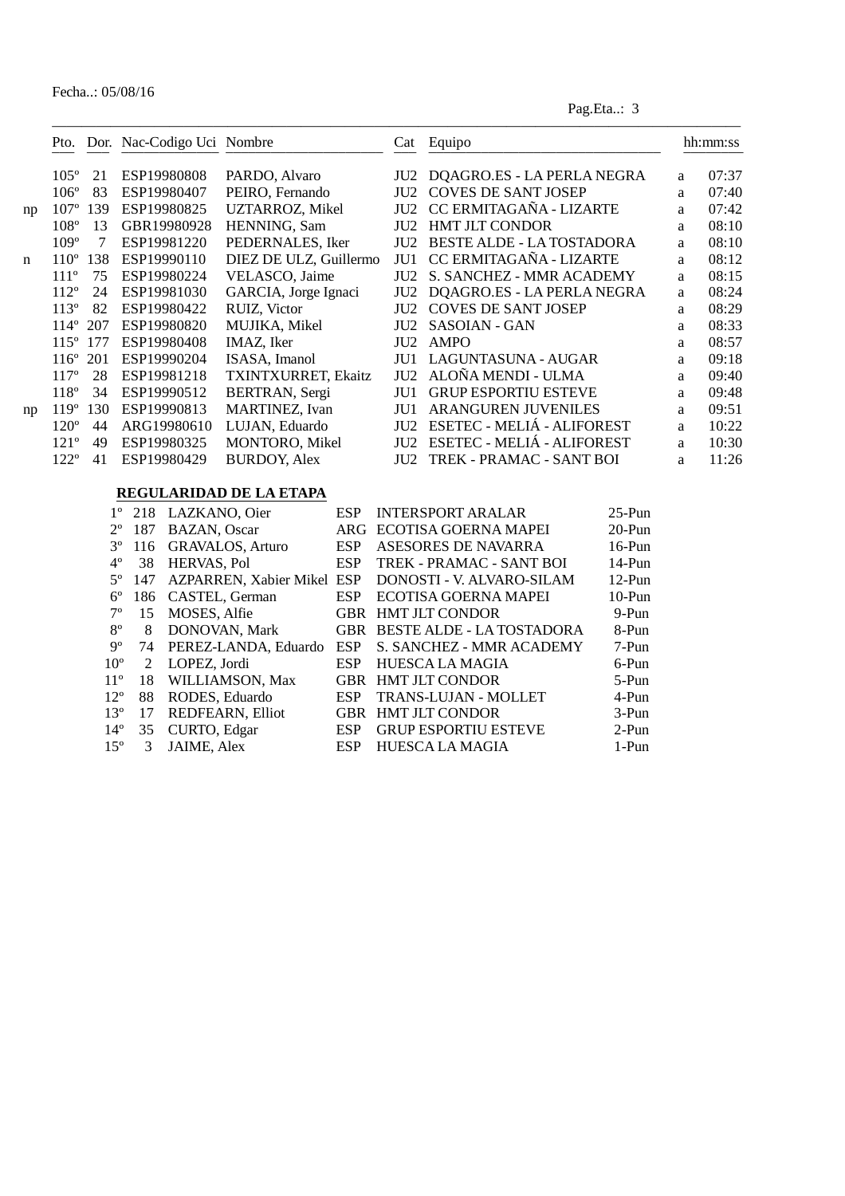|    |                  |     | Pto. Dor. Nac-Codigo Uci Nombre |                        | Cat             | Equipo                           |   | hh:mm:ss |
|----|------------------|-----|---------------------------------|------------------------|-----------------|----------------------------------|---|----------|
|    | $105^{\circ}$    | 21  | ESP19980808                     | PARDO, Alvaro          | JU2             | DQAGRO.ES - LA PERLA NEGRA       | a | 07:37    |
|    | $106^\circ$      | 83  | ESP19980407                     | PEIRO, Fernando        | JU <sub>2</sub> | <b>COVES DE SANT JOSEP</b>       | a | 07:40    |
| np | $107^{\circ}$    | 139 | ESP19980825                     | UZTARROZ, Mikel        | JU2             | CC ERMITAGAÑA - LIZARTE          | a | 07:42    |
|    | $108^\circ$      | 13  | GBR19980928                     | HENNING, Sam           | JU <sub>2</sub> | <b>HMT JLT CONDOR</b>            | a | 08:10    |
|    | $109^\circ$      | 7   | ESP19981220                     | PEDERNALES, Iker       | JU <sub>2</sub> | <b>BESTE ALDE - LA TOSTADORA</b> | a | 08:10    |
| n  | $110^\circ$      | 138 | ESP19990110                     | DIEZ DE ULZ, Guillermo | JU1             | CC ERMITAGAÑA - LIZARTE          | a | 08:12    |
|    | 111 <sup>o</sup> | 75  | ESP19980224                     | VELASCO, Jaime         | JU2             | S. SANCHEZ - MMR ACADEMY         | a | 08:15    |
|    | $112^{\circ}$    | 24  | ESP19981030                     | GARCIA, Jorge Ignaci   | JU <sub>2</sub> | DQAGRO.ES - LA PERLA NEGRA       | a | 08:24    |
|    | $113^\circ$      | 82  | ESP19980422                     | RUIZ, Victor           | JU <sub>2</sub> | <b>COVES DE SANT JOSEP</b>       | a | 08:29    |
|    | $114^\circ$      | 207 | ESP19980820                     | MUJIKA, Mikel          | JU <sub>2</sub> | <b>SASOIAN - GAN</b>             | a | 08:33    |
|    | $115^\circ$      | 177 | ESP19980408                     | IMAZ, Iker             | JU <sub>2</sub> | <b>AMPO</b>                      | a | 08:57    |
|    | $116^\circ$      | 201 | ESP19990204                     | ISASA, Imanol          | JU1             | LAGUNTASUNA - AUGAR              | a | 09:18    |
|    | 117 <sup>°</sup> | 28  | ESP19981218                     | TXINTXURRET, Ekaitz    | JU2             | ALOÑA MENDI - ULMA               | a | 09:40    |
|    | $118^{\circ}$    | 34  | ESP19990512                     | BERTRAN, Sergi         | JU1             | <b>GRUP ESPORTIU ESTEVE</b>      | a | 09:48    |
| np | 119 <sup>o</sup> | 130 | ESP19990813                     | <b>MARTINEZ</b> , Ivan | JU1             | <b>ARANGUREN JUVENILES</b>       | a | 09:51    |
|    | $120^\circ$      | 44  | ARG19980610                     | LUJAN, Eduardo         | JU <sub>2</sub> | ESETEC - MELIÁ - ALIFOREST       | a | 10:22    |
|    | 121 <sup>o</sup> | 49  | ESP19980325                     | <b>MONTORO, Mikel</b>  | JU2             | ESETEC - MELIÁ - ALIFOREST       | a | 10:30    |
|    | $122^{\circ}$    | 41  | ESP19980429                     | <b>BURDOY, Alex</b>    | JU2             | TREK - PRAMAC - SANT BOI         | a | 11:26    |

#### **REGULARIDAD DE LA ETAPA**

|                 |     | 1° 218 LAZKANO, Oier       | ESP.       | <b>INTERSPORT ARALAR</b>      | $25-Pun$  |
|-----------------|-----|----------------------------|------------|-------------------------------|-----------|
| $2^{\circ}$     | 187 | <b>BAZAN</b> , Oscar       |            | ARG ECOTISA GOERNA MAPEI      | $20-Pun$  |
| $3^{\circ}$     | 116 | <b>GRAVALOS, Arturo</b>    | <b>ESP</b> | ASESORES DE NAVARRA           | $16$ -Pun |
| $4^{\circ}$     | 38  | HERVAS, Pol                | <b>ESP</b> | TREK - PRAMAC - SANT BOI      | $14-Pun$  |
| $5^\circ$       | 147 | AZPARREN, Xabier Mikel ESP |            | DONOSTI - V. ALVARO-SILAM     | $12-Pun$  |
| $6^{\circ}$     | 186 | CASTEL, German             | <b>ESP</b> | ECOTISA GOERNA MAPEI          | $10-Pun$  |
| $7^{\circ}$     | 15  | MOSES, Alfie               |            | GBR HMT JLT CONDOR            | 9-Pun     |
| $8^{\circ}$     | 8   | DONOVAN, Mark              |            | GBR BESTE ALDE - LA TOSTADORA | 8-Pun     |
| $9^{\circ}$     | 74  | PEREZ-LANDA, Eduardo       | <b>ESP</b> | S. SANCHEZ - MMR ACADEMY      | 7-Pun     |
| 10 <sup>o</sup> | 2   | LOPEZ. Jordi               | <b>ESP</b> | <b>HUESCA LA MAGIA</b>        | 6-Pun     |
| $11^{\circ}$    | 18  | WILLIAMSON, Max            |            | <b>GBR HMT JLT CONDOR</b>     | 5-Pun     |
| $12^{\circ}$    | 88  | RODES, Eduardo             | <b>ESP</b> | <b>TRANS-LUJAN - MOLLET</b>   | 4-Pun     |
| $13^{\circ}$    | 17  | REDFEARN, Elliot           | <b>GBR</b> | <b>HMT JLT CONDOR</b>         | $3-Pun$   |
| $14^{\circ}$    | 35  | CURTO, Edgar               | <b>ESP</b> | <b>GRUP ESPORTIU ESTEVE</b>   | $2-Pun$   |
| $15^{\circ}$    | 3   | <b>JAIME, Alex</b>         | <b>ESP</b> | <b>HUESCA LA MAGIA</b>        | 1-Pun     |
|                 |     |                            |            |                               |           |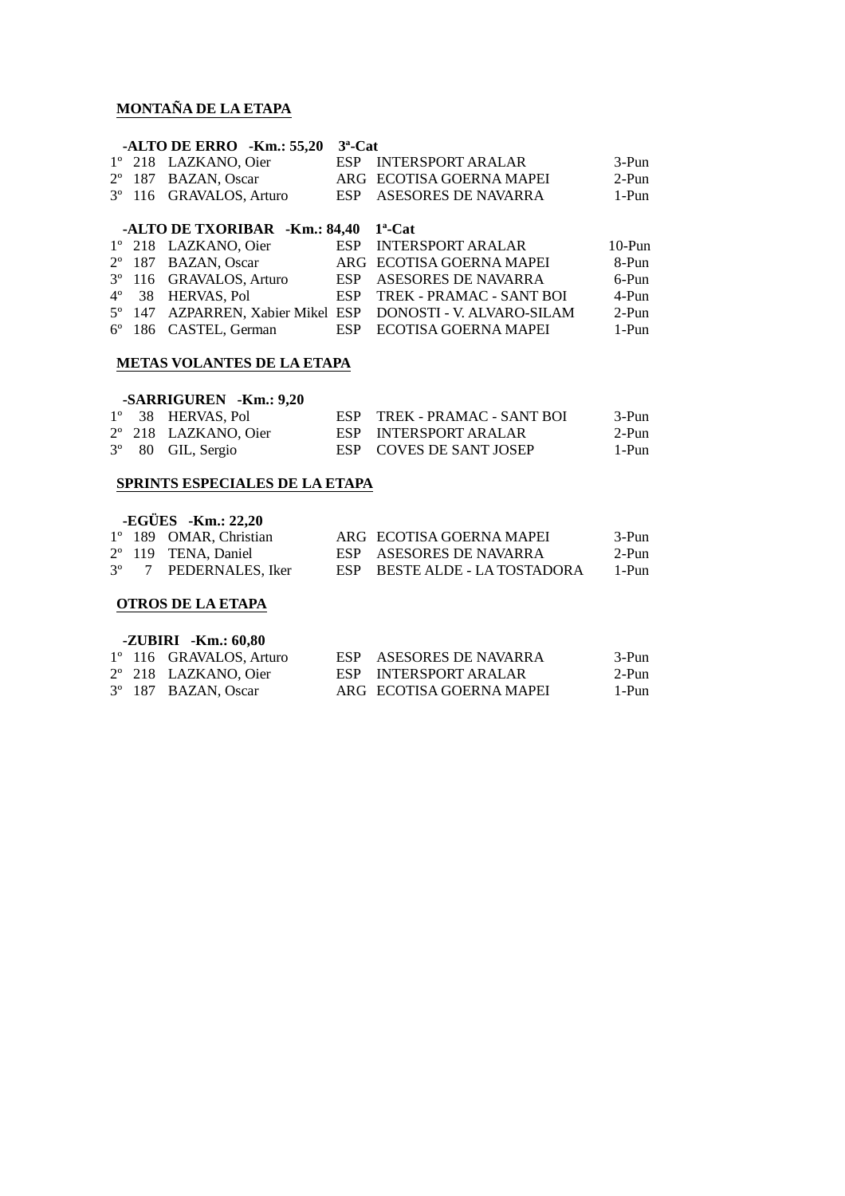#### **MONTAÑA DE LA ETAPA**

|  | -ALTO DE ERRO -Km.: $55.20$ 3 <sup>a</sup> -Cat |                          |       |
|--|-------------------------------------------------|--------------------------|-------|
|  | 1° 218 LAZKANO. Oier                            | ESP INTERSPORT ARALAR    | 3-Pun |
|  | 2° 187 BAZAN, Oscar                             | ARG ECOTISA GOERNA MAPEI | 2-Pun |
|  | 3 <sup>°</sup> 116 GRAVALOS, Arturo             | ESP ASESORES DE NAVARRA  | 1-Pun |
|  |                                                 |                          |       |

#### **-ALTO DE TXORIBAR -Km.: 84,40 1ª-Cat**

|  | 1° 218 LAZKANO, Oier    | ESP INTERSPORT ARALAR                                       | $10-Pun$ |
|--|-------------------------|-------------------------------------------------------------|----------|
|  | 2° 187 BAZAN, Oscar     | ARG ECOTISA GOERNA MAPEI                                    | 8-Pun    |
|  | 3º 116 GRAVALOS, Arturo | ESP ASESORES DE NAVARRA                                     | 6-Pun    |
|  | 4° 38 HERVAS Pol        | ESP TREK - PRAMAC - SANT BOI                                | 4-Pun    |
|  |                         | 5° 147 AZPARREN, Xabier Mikel ESP DONOSTI - V. ALVARO-SILAM | 2-Pun    |
|  | 6° 186 CASTEL, German   | ESP ECOTISA GOERNA MAPEI                                    | 1-Pun    |

### **METAS VOLANTES DE LA ETAPA**

#### **-SARRIGUREN -Km.: 9,20**

|  | 1° 38 HERVAS, Pol          | ESP TREK - PRAMAC - SANT BOI | 3-Pun |
|--|----------------------------|------------------------------|-------|
|  | 2° 218 LAZKANO, Oier       | ESP INTERSPORT ARALAR        | 2-Pun |
|  | $3^{\circ}$ 80 GIL, Sergio | ESP COVES DE SANT JOSEP      | 1-Pun |

#### **SPRINTS ESPECIALES DE LA ETAPA**

|  | $-EGÜES$ $-Km.: 22,20$       |                               |       |
|--|------------------------------|-------------------------------|-------|
|  | 1° 189 OMAR, Christian       | ARG ECOTISA GOERNA MAPEI      | 3-Pun |
|  | $2^{\circ}$ 119 TENA, Daniel | ESP ASESORES DE NAVARRA       | 2-Pun |
|  | 3° 7 PEDERNALES, Iker        | ESP BESTE ALDE - LA TOSTADORA | 1-Pun |

#### **OTROS DE LA ETAPA**

| $-ZUBIRI - Km.: 60,80$ |  |                         |  |                          |       |  |  |  |  |  |
|------------------------|--|-------------------------|--|--------------------------|-------|--|--|--|--|--|
|                        |  | 1° 116 GRAVALOS, Arturo |  | ESP ASESORES DE NAVARRA  | 3-Pun |  |  |  |  |  |
|                        |  | 2° 218 LAZKANO. Oier    |  | ESP INTERSPORT ARALAR    | 2-Pun |  |  |  |  |  |
|                        |  | 3° 187 BAZAN, Oscar     |  | ARG ECOTISA GOERNA MAPEI | 1-Pun |  |  |  |  |  |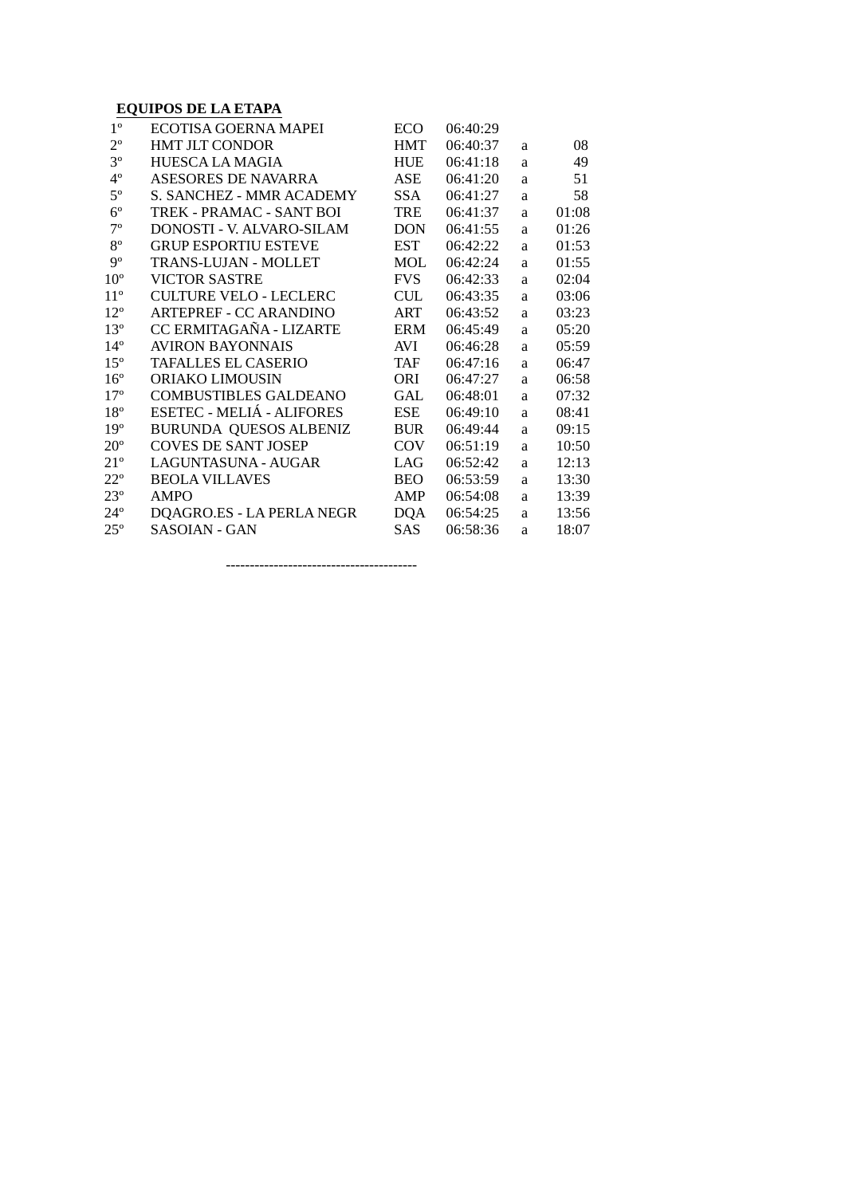#### **EQUIPOS DE LA ETAPA**

| $1^{\circ}$     | ECOTISA GOERNA MAPEI             | <b>ECO</b> | 06:40:29 |   |       |
|-----------------|----------------------------------|------------|----------|---|-------|
| $2^{\circ}$     | <b>HMT JLT CONDOR</b>            | <b>HMT</b> | 06:40:37 | a | 08    |
| $3^{\circ}$     | HUESCA LA MAGIA                  | <b>HUE</b> | 06:41:18 | a | 49    |
| $4^{\circ}$     | <b>ASESORES DE NAVARRA</b>       | ASE        | 06:41:20 | a | 51    |
| $5^{\circ}$     | <b>S. SANCHEZ - MMR ACADEMY</b>  | SSA.       | 06:41:27 | a | 58    |
| $6^{\circ}$     | TREK - PRAMAC - SANT BOI         | TRE        | 06:41:37 | a | 01:08 |
| $7^{\circ}$     | DONOSTI - V. ALVARO-SILAM        | <b>DON</b> | 06:41:55 | a | 01:26 |
| $8^{\circ}$     | <b>GRUP ESPORTIU ESTEVE</b>      | <b>EST</b> | 06:42:22 | a | 01:53 |
| $9^{\circ}$     | TRANS-LUJAN - MOLLET             | MOL        | 06:42:24 | a | 01:55 |
| 10 <sup>o</sup> | <b>VICTOR SASTRE</b>             | <b>FVS</b> | 06:42:33 | a | 02:04 |
| $11^{\circ}$    | CULTURE VELO - LECLERC           | <b>CUL</b> | 06:43:35 | a | 03:06 |
| $12^{\circ}$    | <b>ARTEPREF - CC ARANDINO</b>    | ART        | 06:43:52 | a | 03:23 |
| $13^{\circ}$    | CC ERMITAGAÑA - LIZARTE          | <b>ERM</b> | 06:45:49 | a | 05:20 |
| $14^{\circ}$    | <b>AVIRON BAYONNAIS</b>          | AVI        | 06:46:28 | a | 05:59 |
| $15^{\circ}$    | <b>TAFALLES EL CASERIO</b>       | TAF        | 06:47:16 | a | 06:47 |
| $16^{\circ}$    | ORIAKO LIMOUSIN                  | ORI        | 06:47:27 | a | 06:58 |
| $17^{\circ}$    | <b>COMBUSTIBLES GALDEANO</b>     | GAL        | 06:48:01 | a | 07:32 |
| $18^{\circ}$    | <b>ESETEC - MELIÁ - ALIFORES</b> | <b>ESE</b> | 06:49:10 | a | 08:41 |
| 19 <sup>°</sup> | <b>BURUNDA QUESOS ALBENIZ</b>    | <b>BUR</b> | 06:49:44 | a | 09:15 |
| $20^{\circ}$    | <b>COVES DE SANT JOSEP</b>       | <b>COV</b> | 06:51:19 | a | 10:50 |
| $21^{\circ}$    | LAGUNTASUNA - AUGAR              | LAG        | 06:52:42 | a | 12:13 |
| $22^{\circ}$    | <b>BEOLA VILLAVES</b>            | <b>BEO</b> | 06:53:59 | a | 13:30 |
| $23^{\circ}$    | <b>AMPO</b>                      | AMP        | 06:54:08 | a | 13:39 |
| $24^{\circ}$    | DQAGRO.ES - LA PERLA NEGR        | <b>DQA</b> | 06:54:25 | a | 13:56 |
| $25^{\circ}$    | <b>SASOIAN - GAN</b>             | <b>SAS</b> | 06:58:36 | a | 18:07 |

----------------------------------------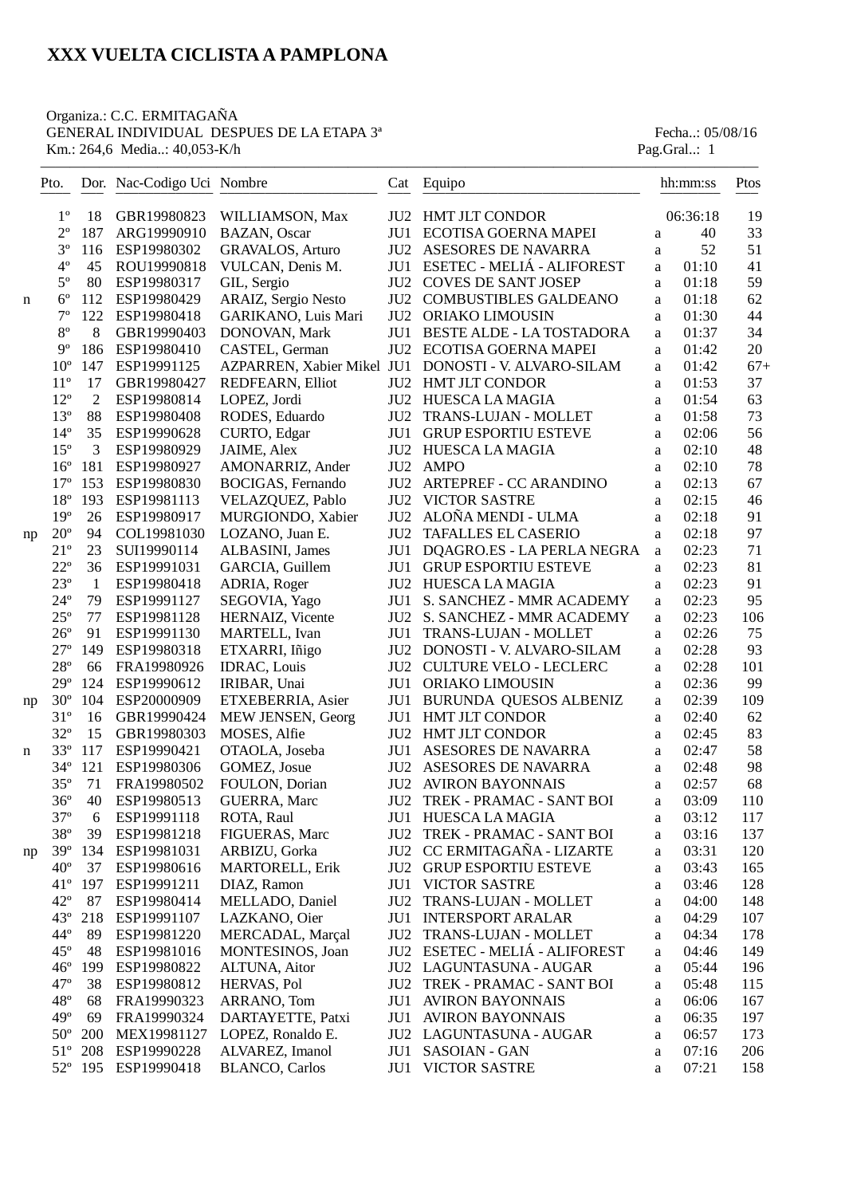#### Organiza.: C.C. ERMITAGAÑA GENERAL INDIVIDUAL DESPUES DE LA ETAPA 3<sup>ª</sup> Fecha..: 05/08/16 Km.: 264,6 Media..: 40,053-K/h Pag.Gral..: 1

|    | Pto.         |                | Dor. Nac-Codigo Uci Nombre |                              |                 | Cat Equipo                                              |              | hh:mm:ss | Ptos  |
|----|--------------|----------------|----------------------------|------------------------------|-----------------|---------------------------------------------------------|--------------|----------|-------|
|    | $1^{\circ}$  | 18             | GBR19980823                | WILLIAMSON, Max              | JU <sub>2</sub> | <b>HMT JLT CONDOR</b>                                   |              | 06:36:18 | 19    |
|    | $2^{\circ}$  | 187            | ARG19990910                | BAZAN, Oscar                 | JU1             | ECOTISA GOERNA MAPEI                                    | a            | 40       | 33    |
|    | $3^{\circ}$  | 116            | ESP19980302                | <b>GRAVALOS, Arturo</b>      |                 | JU2 ASESORES DE NAVARRA                                 | a            | 52       | 51    |
|    | $4^{\circ}$  | 45             | ROU19990818                | VULCAN, Denis M.             | JU1             | ESETEC - MELIÁ - ALIFOREST                              | a            | 01:10    | 41    |
|    | $5^{\circ}$  | 80             | ESP19980317                | GIL, Sergio                  | JU <sub>2</sub> | <b>COVES DE SANT JOSEP</b>                              | a            | 01:18    | 59    |
| n  | $6^{\circ}$  | 112            | ESP19980429                | ARAIZ, Sergio Nesto          | JU <sub>2</sub> | COMBUSTIBLES GALDEANO                                   | a            | 01:18    | 62    |
|    | $7^{\circ}$  | 122            | ESP19980418                | GARIKANO, Luis Mari          | JU <sub>2</sub> | ORIAKO LIMOUSIN                                         | a            | 01:30    | 44    |
|    | $8^{\rm o}$  | 8              | GBR19990403                | DONOVAN, Mark                | JU1             | <b>BESTE ALDE - LA TOSTADORA</b>                        | a            | 01:37    | 34    |
|    | $9^{\circ}$  | 186            | ESP19980410                | CASTEL, German               | JU <sub>2</sub> | ECOTISA GOERNA MAPEI                                    | a            | 01:42    | 20    |
|    | $10^{\circ}$ | 147            | ESP19991125                | AZPARREN, Xabier Mikel JU1   |                 | DONOSTI - V. ALVARO-SILAM                               | a            | 01:42    | $67+$ |
|    | $11^{\circ}$ | 17             | GBR19980427                | REDFEARN, Elliot             | JU <sub>2</sub> | HMT JLT CONDOR                                          | a            | 01:53    | 37    |
|    | $12^{\circ}$ | $\overline{2}$ | ESP19980814                | LOPEZ, Jordi                 | JU <sub>2</sub> | HUESCA LA MAGIA                                         | a            | 01:54    | 63    |
|    | $13^{\circ}$ | 88             | ESP19980408                | RODES, Eduardo               | JU <sub>2</sub> | TRANS-LUJAN - MOLLET                                    | a            | 01:58    | 73    |
|    | $14^{\circ}$ | 35             | ESP19990628                | CURTO, Edgar                 | JU1             | <b>GRUP ESPORTIU ESTEVE</b>                             | a            | 02:06    | 56    |
|    | $15^{\circ}$ | 3              | ESP19980929                | JAIME, Alex                  | JU <sub>2</sub> | HUESCA LA MAGIA                                         | a            | 02:10    | 48    |
|    | $16^{\circ}$ | 181            | ESP19980927                | AMONARRIZ, Ander             | JU <sub>2</sub> | <b>AMPO</b>                                             | a            | 02:10    | 78    |
|    | $17^{\circ}$ | 153            | ESP19980830                | BOCIGAS, Fernando            | JU <sub>2</sub> | ARTEPREF - CC ARANDINO                                  | a            | 02:13    | 67    |
|    | $18^{\circ}$ | 193            | ESP19981113                | VELAZQUEZ, Pablo             | JU <sub>2</sub> | <b>VICTOR SASTRE</b>                                    | a            | 02:15    | 46    |
|    | $19^{\circ}$ | 26             | ESP19980917                | MURGIONDO, Xabier            | JU <sub>2</sub> | ALOÑA MENDI - ULMA                                      | $\mathbf{a}$ | 02:18    | 91    |
| np | $20^{\circ}$ | 94             | COL19981030                | LOZANO, Juan E.              | JU <sub>2</sub> | TAFALLES EL CASERIO                                     | $\mathbf{a}$ | 02:18    | 97    |
|    | $21^{\circ}$ | 23             | SUI19990114                | ALBASINI, James              | JU1             | DQAGRO.ES - LA PERLA NEGRA                              | a            | 02:23    | 71    |
|    | $22^{\circ}$ | 36             | ESP19991031                | GARCIA, Guillem              | JU1             | <b>GRUP ESPORTIU ESTEVE</b>                             | a            | 02:23    | 81    |
|    | $23^{\circ}$ | -1             | ESP19980418                | ADRIA, Roger                 | JU <sub>2</sub> | HUESCA LA MAGIA                                         | a            | 02:23    | 91    |
|    | $24^{\circ}$ | 79             | ESP19991127                | SEGOVIA, Yago                | JU1             | S. SANCHEZ - MMR ACADEMY                                | a            | 02:23    | 95    |
|    | $25^{\circ}$ | 77             | ESP19981128                | HERNAIZ, Vicente             | JU <sub>2</sub> | S. SANCHEZ - MMR ACADEMY                                | a            | 02:23    | 106   |
|    | $26^{\circ}$ | 91             | ESP19991130                | MARTELL, Ivan                | JU1             | TRANS-LUJAN - MOLLET                                    | a            | 02:26    | 75    |
|    | $27^{\circ}$ | 149            | ESP19980318                | ETXARRI, Iñigo               | JU2             | DONOSTI - V. ALVARO-SILAM                               | a            | 02:28    | 93    |
|    | $28^{\circ}$ | 66             | FRA19980926                | <b>IDRAC, Louis</b>          | JU <sub>2</sub> | <b>CULTURE VELO - LECLERC</b>                           | a            | 02:28    | 101   |
|    | $29^\circ$   | 124            | ESP19990612                | IRIBAR, Unai                 | JU1             | ORIAKO LIMOUSIN                                         | a            | 02:36    | 99    |
|    | $30^{\circ}$ | 104            | ESP20000909                | ETXEBERRIA, Asier            | JU1             | BURUNDA QUESOS ALBENIZ                                  | a            | 02:39    | 109   |
| np | $31^{\circ}$ | 16             | GBR19990424                | MEW JENSEN, Georg            | JU1             | <b>HMT JLT CONDOR</b>                                   | a            | 02:40    | 62    |
|    | $32^{\circ}$ | 15             | GBR19980303                | MOSES, Alfie                 | JU <sub>2</sub> | <b>HMT JLT CONDOR</b>                                   |              | 02:45    | 83    |
|    | $33^{\circ}$ | 117            | ESP19990421                | OTAOLA, Joseba               | JU1             | ASESORES DE NAVARRA                                     | a            | 02:47    | 58    |
| n  | $34^{\circ}$ | 121            | ESP19980306                | GOMEZ, Josue                 | JU <sub>2</sub> | ASESORES DE NAVARRA                                     | $\rm{a}$     | 02:48    | 98    |
|    | $35^{\circ}$ | 71             | FRA19980502                | FOULON, Dorian               | JU <sub>2</sub> | <b>AVIRON BAYONNAIS</b>                                 | a            | 02:57    | 68    |
|    | $36^{\circ}$ | 40             | ESP19980513                |                              | JU2             | TREK - PRAMAC - SANT BOI                                | a            | 03:09    | 110   |
|    | $37^{\circ}$ |                | ESP19991118                | <b>GUERRA, Marc</b>          |                 |                                                         | a            | 03:12    |       |
|    |              | 6              |                            | ROTA, Raul<br>FIGUERAS, Marc |                 | JU1 HUESCA LA MAGIA                                     | a            |          | 117   |
|    | $38^{\rm o}$ | 39             | ESP19981218                |                              | JU <sub>2</sub> | TREK - PRAMAC - SANT BOI                                | a            | 03:16    | 137   |
| np | $39^\circ$   | 134            | ESP19981031                | ARBIZU, Gorka                |                 | JU2 CC ERMITAGAÑA - LIZARTE<br>JU2 GRUP ESPORTIU ESTEVE | $\rm{a}$     | 03:31    | 120   |
|    | $40^{\circ}$ | 37             | ESP19980616                | <b>MARTORELL, Erik</b>       |                 |                                                         | a            | 03:43    | 165   |
|    | $41^{\circ}$ | 197            | ESP19991211                | DIAZ, Ramon                  |                 | <b>JU1 VICTOR SASTRE</b>                                | a            | 03:46    | 128   |
|    | $42^{\circ}$ | 87             | ESP19980414                | MELLADO, Daniel              | JU2             | TRANS-LUJAN - MOLLET                                    | a            | 04:00    | 148   |
|    | $43^\circ$   | 218            | ESP19991107                | LAZKANO, Oier                |                 | JU1 INTERSPORT ARALAR                                   | a            | 04:29    | 107   |
|    | $44^{\circ}$ | 89             | ESP19981220                | MERCADAL, Marçal             | JU2             | TRANS-LUJAN - MOLLET                                    | a            | 04:34    | 178   |
|    | $45^{\circ}$ | 48             | ESP19981016                | MONTESINOS, Joan             |                 | JU2 ESETEC - MELIÁ - ALIFOREST                          | a            | 04:46    | 149   |
|    | $46^{\circ}$ | 199            | ESP19980822                | ALTUNA, Aitor                |                 | JU2 LAGUNTASUNA - AUGAR                                 | $\rm{a}$     | 05:44    | 196   |
|    | $47^{\circ}$ | 38             | ESP19980812                | HERVAS, Pol                  | JU <sub>2</sub> | TREK - PRAMAC - SANT BOI                                | $\rm{a}$     | 05:48    | 115   |
|    | $48^{\circ}$ | 68             | FRA19990323                | ARRANO, Tom                  | JU1             | <b>AVIRON BAYONNAIS</b>                                 | a            | 06:06    | 167   |
|    | $49^\circ$   | 69             | FRA19990324                | DARTAYETTE, Patxi            | JU1             | <b>AVIRON BAYONNAIS</b>                                 | a            | 06:35    | 197   |
|    | $50^{\circ}$ | 200            | MEX19981127                | LOPEZ, Ronaldo E.            |                 | JU2 LAGUNTASUNA - AUGAR                                 | a            | 06:57    | 173   |
|    | $51^{\circ}$ | 208            | ESP19990228                | ALVAREZ, Imanol              | JU1             | SASOIAN - GAN                                           | a            | 07:16    | 206   |
|    |              | 52° 195        | ESP19990418                | <b>BLANCO</b> , Carlos       | JU1             | VICTOR SASTRE                                           | a            | 07:21    | 158   |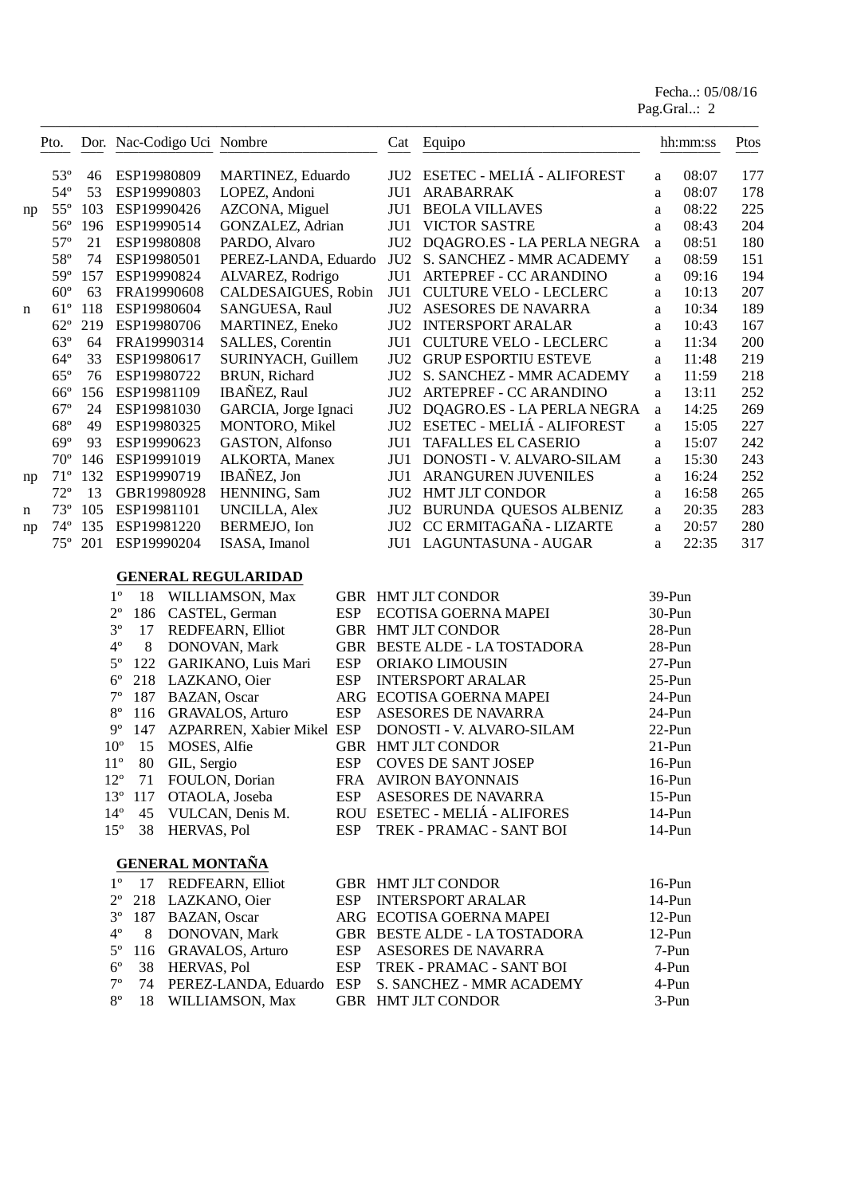Fecha..: 05/08/16 Pag.Gral..: 2

|    | Pto.         |     |                    |                    | Dor. Nac-Codigo Uci Nombre |            |                 | Cat Equipo                     |              | hh:mm:ss | Ptos |
|----|--------------|-----|--------------------|--------------------|----------------------------|------------|-----------------|--------------------------------|--------------|----------|------|
|    | $53^{\circ}$ | 46  | ESP19980809        |                    | MARTINEZ, Eduardo          |            |                 | JU2 ESETEC - MELIÁ - ALIFOREST | a            | 08:07    | 177  |
|    | $54^{\circ}$ | 53  | ESP19990803        |                    | LOPEZ, Andoni              |            |                 | JU1 ARABARRAK                  | a            | 08:07    | 178  |
| np | $55^{\circ}$ | 103 | ESP19990426        |                    | AZCONA, Miguel             |            | JU1             | <b>BEOLA VILLAVES</b>          | a            | 08:22    | 225  |
|    | $56^{\circ}$ | 196 | ESP19990514        |                    | GONZALEZ, Adrian           |            | JU1             | <b>VICTOR SASTRE</b>           | a            | 08:43    | 204  |
|    | $57^{\circ}$ | 21  | ESP19980808        |                    | PARDO, Alvaro              |            |                 | JU2 DQAGRO.ES - LA PERLA NEGRA | $\mathbf{a}$ | 08:51    | 180  |
|    | 58°          | 74  | ESP19980501        |                    | PEREZ-LANDA, Eduardo       |            | JU2             | S. SANCHEZ - MMR ACADEMY       | a            | 08:59    | 151  |
|    | $59^\circ$   | 157 | ESP19990824        |                    | ALVAREZ, Rodrigo           |            | JU1             | ARTEPREF - CC ARANDINO         | a            | 09:16    | 194  |
|    | $60^{\circ}$ | 63  | FRA19990608        |                    | CALDESAIGUES, Robin        |            | JU1             | <b>CULTURE VELO - LECLERC</b>  | a            | 10:13    | 207  |
| n  | $61^{\circ}$ | 118 | ESP19980604        |                    | SANGUESA, Raul             |            | JU <sub>2</sub> | ASESORES DE NAVARRA            | a            | 10:34    | 189  |
|    | $62^{\circ}$ | 219 | ESP19980706        |                    | <b>MARTINEZ, Eneko</b>     |            |                 | <b>JU2 INTERSPORT ARALAR</b>   | a            | 10:43    | 167  |
|    | $63^\circ$   | 64  | FRA19990314        |                    | SALLES, Corentin           |            | JU1             | <b>CULTURE VELO - LECLERC</b>  | a            | 11:34    | 200  |
|    | $64^{\circ}$ | 33  | ESP19980617        |                    | SURINYACH, Guillem         |            | JU2             | <b>GRUP ESPORTIU ESTEVE</b>    | a            | 11:48    | 219  |
|    | $65^{\circ}$ | 76  | ESP19980722        |                    | BRUN, Richard              |            |                 | JU2 S. SANCHEZ - MMR ACADEMY   | a            | 11:59    | 218  |
|    | $66^{\circ}$ | 156 | ESP19981109        |                    | IBAÑEZ, Raul               |            |                 | JU2 ARTEPREF - CC ARANDINO     | $\mathbf{a}$ | 13:11    | 252  |
|    | $67^\circ$   | 24  | ESP19981030        |                    | GARCIA, Jorge Ignaci       |            |                 | JU2 DQAGRO.ES - LA PERLA NEGRA | $\rm{a}$     | 14:25    | 269  |
|    | $68^{\circ}$ | 49  | ESP19980325        |                    | MONTORO, Mikel             |            |                 | JU2 ESETEC - MELIÁ - ALIFOREST | $\rm{a}$     | 15:05    | 227  |
|    | $69^\circ$   | 93  | ESP19990623        |                    | GASTON, Alfonso            |            | JU1             | <b>TAFALLES EL CASERIO</b>     | a            | 15:07    | 242  |
|    | $70^{\circ}$ | 146 | ESP19991019        |                    | ALKORTA, Manex             |            |                 | JU1 DONOSTI - V. ALVARO-SILAM  | a            | 15:30    | 243  |
| np | $71^{\circ}$ |     | 132 ESP19990719    |                    | IBAÑEZ, Jon                |            |                 | JU1 ARANGUREN JUVENILES        | a            | 16:24    | 252  |
|    | $72^{\circ}$ | 13  |                    | GBR19980928        | HENNING, Sam               |            |                 | JU2 HMT JLT CONDOR             | $\rm{a}$     | 16:58    | 265  |
| n  | $73^{\circ}$ | 105 | ESP19981101        |                    | <b>UNCILLA, Alex</b>       |            |                 | JU2 BURUNDA QUESOS ALBENIZ     | a            | 20:35    | 283  |
| np | $74^{\circ}$ | 135 | ESP19981220        |                    | BERMEJO, Ion               |            |                 | JU2 CC ERMITAGAÑA - LIZARTE    | a            | 20:57    | 280  |
|    | $75^{\circ}$ | 201 | ESP19990204        |                    | ISASA, Imanol              |            |                 | JU1 LAGUNTASUNA - AUGAR        | a            | 22:35    | 317  |
|    |              |     |                    |                    | <b>GENERAL REGULARIDAD</b> |            |                 |                                |              |          |      |
|    |              |     | $1^{\circ}$<br>18  |                    | WILLIAMSON, Max            |            |                 | GBR HMT JLT CONDOR             | 39-Pun       |          |      |
|    |              |     | $2^{\rm o}$<br>186 |                    | CASTEL, German             | <b>ESP</b> |                 | ECOTISA GOERNA MAPEI           | 30-Pun       |          |      |
|    |              |     | $3^{\circ}$<br>17  |                    | REDFEARN, Elliot           |            |                 | GBR HMT JLT CONDOR             | 28-Pun       |          |      |
|    |              |     | $4^{\circ}$<br>8   |                    | DONOVAN, Mark              |            |                 | GBR BESTE ALDE - LA TOSTADORA  | 28-Pun       |          |      |
|    |              |     | $5^{\circ}$<br>122 |                    | GARIKANO, Luis Mari        | ESP        |                 | ORIAKO LIMOUSIN                | $27-Pun$     |          |      |
|    |              |     | $6^{\circ}$<br>218 |                    | LAZKANO, Oier              | <b>ESP</b> |                 | <b>INTERSPORT ARALAR</b>       | $25-Pun$     |          |      |
|    |              |     | $7^{\circ}$<br>187 | BAZAN, Oscar       |                            |            |                 | ARG ECOTISA GOERNA MAPEI       | 24-Pun       |          |      |
|    |              |     | $8^{\circ}$<br>116 |                    | <b>GRAVALOS, Arturo</b>    | <b>ESP</b> |                 | ASESORES DE NAVARRA            | 24-Pun       |          |      |
|    |              |     | $9^{\circ}$<br>147 |                    | AZPARREN, Xabier Mikel ESP |            |                 | DONOSTI - V. ALVARO-SILAM      | 22-Pun       |          |      |
|    |              |     | $10^{\circ}$<br>15 | MOSES, Alfie       |                            |            |                 | GBR HMT JLT CONDOR             | $21-Pun$     |          |      |
|    |              |     | $11^{\circ}$       | 80 GIL, Sergio     |                            |            |                 | ESP COVES DE SANT JOSEP        | $16-Pun$     |          |      |
|    |              |     | $12^{\circ}$<br>71 |                    | FOULON, Dorian             |            |                 | FRA AVIRON BAYONNAIS           | $16-Pun$     |          |      |
|    |              |     | $13^{\circ}$ 117   |                    | OTAOLA, Joseba             | <b>ESP</b> |                 | ASESORES DE NAVARRA            | $15-Pun$     |          |      |
|    |              |     | $14^{\circ}$<br>45 |                    | VULCAN, Denis M.           |            |                 | ROU ESETEC - MELIÁ - ALIFORES  | $14-Pun$     |          |      |
|    |              |     | $15^{\circ}$       | 38 HERVAS, Pol     |                            | ESP        |                 | TREK - PRAMAC - SANT BOI       | 14-Pun       |          |      |
|    |              |     |                    |                    | <b>GENERAL MONTAÑA</b>     |            |                 |                                |              |          |      |
|    |              |     | $1^{\circ}$<br>17  |                    | REDFEARN, Elliot           |            |                 | GBR HMT JLT CONDOR             | $16-Pun$     |          |      |
|    |              |     | $2^{\circ}$        |                    | 218 LAZKANO, Oier          | <b>ESP</b> |                 | <b>INTERSPORT ARALAR</b>       | 14-Pun       |          |      |
|    |              |     | $3^{\circ}$        | 187 BAZAN, Oscar   |                            |            |                 | ARG ECOTISA GOERNA MAPEI       | 12-Pun       |          |      |
|    |              |     | $4^{\circ}$<br>8   |                    | DONOVAN, Mark              |            |                 | GBR BESTE ALDE - LA TOSTADORA  | $12-Pun$     |          |      |
|    |              |     | $5^{\circ}$<br>116 |                    | <b>GRAVALOS, Arturo</b>    | <b>ESP</b> |                 | ASESORES DE NAVARRA            |              | 7-Pun    |      |
|    |              |     | $6^{\circ}$<br>38  | <b>HERVAS, Pol</b> |                            | ESP        |                 | TREK - PRAMAC - SANT BOI       |              | 4-Pun    |      |
|    |              |     | $7^{\circ}$<br>74  |                    | PEREZ-LANDA, Eduardo       | ESP        |                 | S. SANCHEZ - MMR ACADEMY       |              | 4-Pun    |      |
|    |              |     | $8^{\circ}$<br>18  |                    | WILLIAMSON, Max            |            |                 | GBR HMT JLT CONDOR             |              | 3-Pun    |      |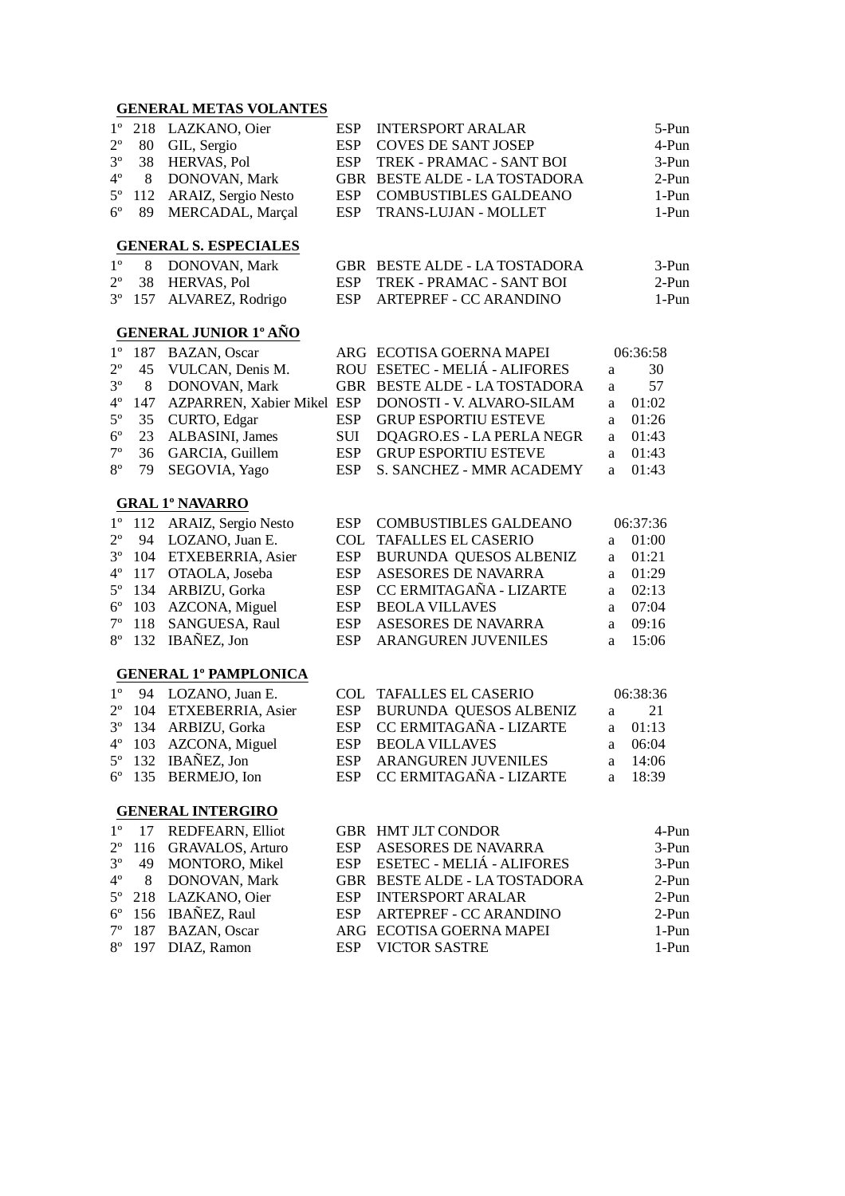#### **GENERAL METAS VOLANTES**

| $2^{\circ}$<br>80<br>GIL, Sergio<br><b>ESP</b><br><b>COVES DE SANT JOSEP</b><br>$3^{\circ}$<br>38<br>HERVAS, Pol<br>TREK - PRAMAC - SANT BOI<br><b>ESP</b><br>$4^{\circ}$<br>8<br>DONOVAN, Mark<br>GBR BESTE ALDE - LA TOSTADORA<br>$5^{\circ}$<br>ARAIZ, Sergio Nesto<br><b>COMBUSTIBLES GALDEANO</b><br>112<br><b>ESP</b><br>$6^{\circ}$<br>MERCADAL, Marçal<br>89<br><b>ESP</b><br>TRANS-LUJAN - MOLLET<br><b>GENERAL S. ESPECIALES</b><br>$1^{\circ}$<br>8<br>DONOVAN, Mark<br>GBR BESTE ALDE - LA TOSTADORA<br>$2^{\circ}$<br>38<br><b>ESP</b><br>HERVAS, Pol<br>TREK - PRAMAC - SANT BOI<br>$3^{\circ}$<br>157<br>ALVAREZ, Rodrigo<br><b>ESP</b><br>ARTEPREF - CC ARANDINO<br><b>GENERAL JUNIOR 1º AÑO</b><br>$1^{\circ}$<br>187<br>BAZAN, Oscar<br>ARG ECOTISA GOERNA MAPEI<br>06:36:58<br>$2^{\circ}$<br>ROU ESETEC - MELIÁ - ALIFORES<br>45<br>VULCAN, Denis M.<br>a<br>$3^{\circ}$<br>DONOVAN, Mark<br>8<br>GBR BESTE ALDE - LA TOSTADORA<br>a<br>$4^{\circ}$<br>147<br>AZPARREN, Xabier Mikel ESP<br>DONOSTI - V. ALVARO-SILAM<br>01:02<br>a<br>$5^{\circ}$<br><b>ESP</b><br>35<br>CURTO, Edgar<br><b>GRUP ESPORTIU ESTEVE</b><br>01:26<br>a<br>$6^{\circ}$<br>23<br>ALBASINI, James<br>SUI<br>DQAGRO.ES - LA PERLA NEGR<br>01:43<br>a<br>$7^{\circ}$<br>36<br><b>ESP</b><br><b>GRUP ESPORTIU ESTEVE</b><br>GARCIA, Guillem<br>01:43<br>a<br>$8^{\circ}$<br>79<br><b>ESP</b><br>SEGOVIA, Yago<br>S. SANCHEZ - MMR ACADEMY<br>01:43<br>a<br><b>GRAL 1º NAVARRO</b><br>$1^{\circ}$<br>112<br>ARAIZ, Sergio Nesto<br><b>ESP</b><br><b>COMBUSTIBLES GALDEANO</b><br>06:37:36<br>$2^{\circ}$<br>94<br>LOZANO, Juan E.<br><b>COL</b><br><b>TAFALLES EL CASERIO</b><br>01:00<br>a<br>$3^{\circ}$<br>104<br>ETXEBERRIA, Asier<br><b>ESP</b><br>BURUNDA QUESOS ALBENIZ<br>01:21<br>a<br>$4^{\circ}$<br><b>ESP</b><br>ASESORES DE NAVARRA<br>117<br>OTAOLA, Joseba<br>01:29<br>a<br>$5^{\circ}$<br>134<br><b>ESP</b><br>CC ERMITAGAÑA - LIZARTE<br>ARBIZU, Gorka<br>02:13<br>a<br>$6^{\circ}$<br>103<br><b>ESP</b><br>AZCONA, Miguel<br><b>BEOLA VILLAVES</b><br>07:04<br>a<br>$7^{\circ}$<br>SANGUESA, Raul<br><b>ESP</b><br>118<br>ASESORES DE NAVARRA<br>09:16<br>a<br>$8^{\circ}$<br>IBAÑEZ, Jon<br>132<br><b>ESP</b><br>ARANGUREN JUVENILES<br>15:06<br>a<br><b>GENERAL 1º PAMPLONICA</b><br>$1^{\circ}$<br>LOZANO, Juan E.<br><b>TAFALLES EL CASERIO</b><br>06:38:36<br>94<br>COL.<br>$2^{\circ}$<br>BURUNDA QUESOS ALBENIZ<br>104<br>ETXEBERRIA, Asier<br><b>ESP</b><br>a<br>$3^{\circ}$<br>CC ERMITAGAÑA - LIZARTE<br>134<br>ARBIZU, Gorka<br><b>ESP</b><br>a | 5-Pun |
|------------------------------------------------------------------------------------------------------------------------------------------------------------------------------------------------------------------------------------------------------------------------------------------------------------------------------------------------------------------------------------------------------------------------------------------------------------------------------------------------------------------------------------------------------------------------------------------------------------------------------------------------------------------------------------------------------------------------------------------------------------------------------------------------------------------------------------------------------------------------------------------------------------------------------------------------------------------------------------------------------------------------------------------------------------------------------------------------------------------------------------------------------------------------------------------------------------------------------------------------------------------------------------------------------------------------------------------------------------------------------------------------------------------------------------------------------------------------------------------------------------------------------------------------------------------------------------------------------------------------------------------------------------------------------------------------------------------------------------------------------------------------------------------------------------------------------------------------------------------------------------------------------------------------------------------------------------------------------------------------------------------------------------------------------------------------------------------------------------------------------------------------------------------------------------------------------------------------------------------------------------------------------------------------------------------------------------------------------------------------------------------------------------------------------------------------------------------------------------------------------------------------------------------------------------------------|-------|
|                                                                                                                                                                                                                                                                                                                                                                                                                                                                                                                                                                                                                                                                                                                                                                                                                                                                                                                                                                                                                                                                                                                                                                                                                                                                                                                                                                                                                                                                                                                                                                                                                                                                                                                                                                                                                                                                                                                                                                                                                                                                                                                                                                                                                                                                                                                                                                                                                                                                                                                                                                        | 4-Pun |
|                                                                                                                                                                                                                                                                                                                                                                                                                                                                                                                                                                                                                                                                                                                                                                                                                                                                                                                                                                                                                                                                                                                                                                                                                                                                                                                                                                                                                                                                                                                                                                                                                                                                                                                                                                                                                                                                                                                                                                                                                                                                                                                                                                                                                                                                                                                                                                                                                                                                                                                                                                        | 3-Pun |
|                                                                                                                                                                                                                                                                                                                                                                                                                                                                                                                                                                                                                                                                                                                                                                                                                                                                                                                                                                                                                                                                                                                                                                                                                                                                                                                                                                                                                                                                                                                                                                                                                                                                                                                                                                                                                                                                                                                                                                                                                                                                                                                                                                                                                                                                                                                                                                                                                                                                                                                                                                        | 2-Pun |
|                                                                                                                                                                                                                                                                                                                                                                                                                                                                                                                                                                                                                                                                                                                                                                                                                                                                                                                                                                                                                                                                                                                                                                                                                                                                                                                                                                                                                                                                                                                                                                                                                                                                                                                                                                                                                                                                                                                                                                                                                                                                                                                                                                                                                                                                                                                                                                                                                                                                                                                                                                        | 1-Pun |
|                                                                                                                                                                                                                                                                                                                                                                                                                                                                                                                                                                                                                                                                                                                                                                                                                                                                                                                                                                                                                                                                                                                                                                                                                                                                                                                                                                                                                                                                                                                                                                                                                                                                                                                                                                                                                                                                                                                                                                                                                                                                                                                                                                                                                                                                                                                                                                                                                                                                                                                                                                        | 1-Pun |
|                                                                                                                                                                                                                                                                                                                                                                                                                                                                                                                                                                                                                                                                                                                                                                                                                                                                                                                                                                                                                                                                                                                                                                                                                                                                                                                                                                                                                                                                                                                                                                                                                                                                                                                                                                                                                                                                                                                                                                                                                                                                                                                                                                                                                                                                                                                                                                                                                                                                                                                                                                        |       |
|                                                                                                                                                                                                                                                                                                                                                                                                                                                                                                                                                                                                                                                                                                                                                                                                                                                                                                                                                                                                                                                                                                                                                                                                                                                                                                                                                                                                                                                                                                                                                                                                                                                                                                                                                                                                                                                                                                                                                                                                                                                                                                                                                                                                                                                                                                                                                                                                                                                                                                                                                                        | 3-Pun |
|                                                                                                                                                                                                                                                                                                                                                                                                                                                                                                                                                                                                                                                                                                                                                                                                                                                                                                                                                                                                                                                                                                                                                                                                                                                                                                                                                                                                                                                                                                                                                                                                                                                                                                                                                                                                                                                                                                                                                                                                                                                                                                                                                                                                                                                                                                                                                                                                                                                                                                                                                                        | 2-Pun |
|                                                                                                                                                                                                                                                                                                                                                                                                                                                                                                                                                                                                                                                                                                                                                                                                                                                                                                                                                                                                                                                                                                                                                                                                                                                                                                                                                                                                                                                                                                                                                                                                                                                                                                                                                                                                                                                                                                                                                                                                                                                                                                                                                                                                                                                                                                                                                                                                                                                                                                                                                                        | 1-Pun |
|                                                                                                                                                                                                                                                                                                                                                                                                                                                                                                                                                                                                                                                                                                                                                                                                                                                                                                                                                                                                                                                                                                                                                                                                                                                                                                                                                                                                                                                                                                                                                                                                                                                                                                                                                                                                                                                                                                                                                                                                                                                                                                                                                                                                                                                                                                                                                                                                                                                                                                                                                                        |       |
|                                                                                                                                                                                                                                                                                                                                                                                                                                                                                                                                                                                                                                                                                                                                                                                                                                                                                                                                                                                                                                                                                                                                                                                                                                                                                                                                                                                                                                                                                                                                                                                                                                                                                                                                                                                                                                                                                                                                                                                                                                                                                                                                                                                                                                                                                                                                                                                                                                                                                                                                                                        |       |
|                                                                                                                                                                                                                                                                                                                                                                                                                                                                                                                                                                                                                                                                                                                                                                                                                                                                                                                                                                                                                                                                                                                                                                                                                                                                                                                                                                                                                                                                                                                                                                                                                                                                                                                                                                                                                                                                                                                                                                                                                                                                                                                                                                                                                                                                                                                                                                                                                                                                                                                                                                        | 30    |
|                                                                                                                                                                                                                                                                                                                                                                                                                                                                                                                                                                                                                                                                                                                                                                                                                                                                                                                                                                                                                                                                                                                                                                                                                                                                                                                                                                                                                                                                                                                                                                                                                                                                                                                                                                                                                                                                                                                                                                                                                                                                                                                                                                                                                                                                                                                                                                                                                                                                                                                                                                        | 57    |
|                                                                                                                                                                                                                                                                                                                                                                                                                                                                                                                                                                                                                                                                                                                                                                                                                                                                                                                                                                                                                                                                                                                                                                                                                                                                                                                                                                                                                                                                                                                                                                                                                                                                                                                                                                                                                                                                                                                                                                                                                                                                                                                                                                                                                                                                                                                                                                                                                                                                                                                                                                        |       |
|                                                                                                                                                                                                                                                                                                                                                                                                                                                                                                                                                                                                                                                                                                                                                                                                                                                                                                                                                                                                                                                                                                                                                                                                                                                                                                                                                                                                                                                                                                                                                                                                                                                                                                                                                                                                                                                                                                                                                                                                                                                                                                                                                                                                                                                                                                                                                                                                                                                                                                                                                                        |       |
|                                                                                                                                                                                                                                                                                                                                                                                                                                                                                                                                                                                                                                                                                                                                                                                                                                                                                                                                                                                                                                                                                                                                                                                                                                                                                                                                                                                                                                                                                                                                                                                                                                                                                                                                                                                                                                                                                                                                                                                                                                                                                                                                                                                                                                                                                                                                                                                                                                                                                                                                                                        |       |
|                                                                                                                                                                                                                                                                                                                                                                                                                                                                                                                                                                                                                                                                                                                                                                                                                                                                                                                                                                                                                                                                                                                                                                                                                                                                                                                                                                                                                                                                                                                                                                                                                                                                                                                                                                                                                                                                                                                                                                                                                                                                                                                                                                                                                                                                                                                                                                                                                                                                                                                                                                        |       |
|                                                                                                                                                                                                                                                                                                                                                                                                                                                                                                                                                                                                                                                                                                                                                                                                                                                                                                                                                                                                                                                                                                                                                                                                                                                                                                                                                                                                                                                                                                                                                                                                                                                                                                                                                                                                                                                                                                                                                                                                                                                                                                                                                                                                                                                                                                                                                                                                                                                                                                                                                                        |       |
|                                                                                                                                                                                                                                                                                                                                                                                                                                                                                                                                                                                                                                                                                                                                                                                                                                                                                                                                                                                                                                                                                                                                                                                                                                                                                                                                                                                                                                                                                                                                                                                                                                                                                                                                                                                                                                                                                                                                                                                                                                                                                                                                                                                                                                                                                                                                                                                                                                                                                                                                                                        |       |
|                                                                                                                                                                                                                                                                                                                                                                                                                                                                                                                                                                                                                                                                                                                                                                                                                                                                                                                                                                                                                                                                                                                                                                                                                                                                                                                                                                                                                                                                                                                                                                                                                                                                                                                                                                                                                                                                                                                                                                                                                                                                                                                                                                                                                                                                                                                                                                                                                                                                                                                                                                        |       |
|                                                                                                                                                                                                                                                                                                                                                                                                                                                                                                                                                                                                                                                                                                                                                                                                                                                                                                                                                                                                                                                                                                                                                                                                                                                                                                                                                                                                                                                                                                                                                                                                                                                                                                                                                                                                                                                                                                                                                                                                                                                                                                                                                                                                                                                                                                                                                                                                                                                                                                                                                                        |       |
|                                                                                                                                                                                                                                                                                                                                                                                                                                                                                                                                                                                                                                                                                                                                                                                                                                                                                                                                                                                                                                                                                                                                                                                                                                                                                                                                                                                                                                                                                                                                                                                                                                                                                                                                                                                                                                                                                                                                                                                                                                                                                                                                                                                                                                                                                                                                                                                                                                                                                                                                                                        |       |
|                                                                                                                                                                                                                                                                                                                                                                                                                                                                                                                                                                                                                                                                                                                                                                                                                                                                                                                                                                                                                                                                                                                                                                                                                                                                                                                                                                                                                                                                                                                                                                                                                                                                                                                                                                                                                                                                                                                                                                                                                                                                                                                                                                                                                                                                                                                                                                                                                                                                                                                                                                        |       |
|                                                                                                                                                                                                                                                                                                                                                                                                                                                                                                                                                                                                                                                                                                                                                                                                                                                                                                                                                                                                                                                                                                                                                                                                                                                                                                                                                                                                                                                                                                                                                                                                                                                                                                                                                                                                                                                                                                                                                                                                                                                                                                                                                                                                                                                                                                                                                                                                                                                                                                                                                                        |       |
|                                                                                                                                                                                                                                                                                                                                                                                                                                                                                                                                                                                                                                                                                                                                                                                                                                                                                                                                                                                                                                                                                                                                                                                                                                                                                                                                                                                                                                                                                                                                                                                                                                                                                                                                                                                                                                                                                                                                                                                                                                                                                                                                                                                                                                                                                                                                                                                                                                                                                                                                                                        |       |
|                                                                                                                                                                                                                                                                                                                                                                                                                                                                                                                                                                                                                                                                                                                                                                                                                                                                                                                                                                                                                                                                                                                                                                                                                                                                                                                                                                                                                                                                                                                                                                                                                                                                                                                                                                                                                                                                                                                                                                                                                                                                                                                                                                                                                                                                                                                                                                                                                                                                                                                                                                        |       |
|                                                                                                                                                                                                                                                                                                                                                                                                                                                                                                                                                                                                                                                                                                                                                                                                                                                                                                                                                                                                                                                                                                                                                                                                                                                                                                                                                                                                                                                                                                                                                                                                                                                                                                                                                                                                                                                                                                                                                                                                                                                                                                                                                                                                                                                                                                                                                                                                                                                                                                                                                                        |       |
|                                                                                                                                                                                                                                                                                                                                                                                                                                                                                                                                                                                                                                                                                                                                                                                                                                                                                                                                                                                                                                                                                                                                                                                                                                                                                                                                                                                                                                                                                                                                                                                                                                                                                                                                                                                                                                                                                                                                                                                                                                                                                                                                                                                                                                                                                                                                                                                                                                                                                                                                                                        |       |
|                                                                                                                                                                                                                                                                                                                                                                                                                                                                                                                                                                                                                                                                                                                                                                                                                                                                                                                                                                                                                                                                                                                                                                                                                                                                                                                                                                                                                                                                                                                                                                                                                                                                                                                                                                                                                                                                                                                                                                                                                                                                                                                                                                                                                                                                                                                                                                                                                                                                                                                                                                        |       |
|                                                                                                                                                                                                                                                                                                                                                                                                                                                                                                                                                                                                                                                                                                                                                                                                                                                                                                                                                                                                                                                                                                                                                                                                                                                                                                                                                                                                                                                                                                                                                                                                                                                                                                                                                                                                                                                                                                                                                                                                                                                                                                                                                                                                                                                                                                                                                                                                                                                                                                                                                                        | 21    |
|                                                                                                                                                                                                                                                                                                                                                                                                                                                                                                                                                                                                                                                                                                                                                                                                                                                                                                                                                                                                                                                                                                                                                                                                                                                                                                                                                                                                                                                                                                                                                                                                                                                                                                                                                                                                                                                                                                                                                                                                                                                                                                                                                                                                                                                                                                                                                                                                                                                                                                                                                                        | 01:13 |
| $4^{\circ}$<br>103<br>AZCONA, Miguel<br><b>ESP</b><br><b>BEOLA VILLAVES</b><br>06:04<br>a                                                                                                                                                                                                                                                                                                                                                                                                                                                                                                                                                                                                                                                                                                                                                                                                                                                                                                                                                                                                                                                                                                                                                                                                                                                                                                                                                                                                                                                                                                                                                                                                                                                                                                                                                                                                                                                                                                                                                                                                                                                                                                                                                                                                                                                                                                                                                                                                                                                                              |       |
| 5° 132 IBAÑEZ, Jon<br>ARANGUREN JUVENILES<br>14:06<br><b>ESP</b><br>a                                                                                                                                                                                                                                                                                                                                                                                                                                                                                                                                                                                                                                                                                                                                                                                                                                                                                                                                                                                                                                                                                                                                                                                                                                                                                                                                                                                                                                                                                                                                                                                                                                                                                                                                                                                                                                                                                                                                                                                                                                                                                                                                                                                                                                                                                                                                                                                                                                                                                                  |       |
| CC ERMITAGAÑA - LIZARTE<br>6° 135 BERMEJO, Ion<br><b>ESP</b><br>18:39<br>a                                                                                                                                                                                                                                                                                                                                                                                                                                                                                                                                                                                                                                                                                                                                                                                                                                                                                                                                                                                                                                                                                                                                                                                                                                                                                                                                                                                                                                                                                                                                                                                                                                                                                                                                                                                                                                                                                                                                                                                                                                                                                                                                                                                                                                                                                                                                                                                                                                                                                             |       |
| <b>GENERAL INTERGIRO</b>                                                                                                                                                                                                                                                                                                                                                                                                                                                                                                                                                                                                                                                                                                                                                                                                                                                                                                                                                                                                                                                                                                                                                                                                                                                                                                                                                                                                                                                                                                                                                                                                                                                                                                                                                                                                                                                                                                                                                                                                                                                                                                                                                                                                                                                                                                                                                                                                                                                                                                                                               |       |
| $1^{\circ}$<br>REDFEARN, Elliot<br><b>GBR HMT JLT CONDOR</b><br>17                                                                                                                                                                                                                                                                                                                                                                                                                                                                                                                                                                                                                                                                                                                                                                                                                                                                                                                                                                                                                                                                                                                                                                                                                                                                                                                                                                                                                                                                                                                                                                                                                                                                                                                                                                                                                                                                                                                                                                                                                                                                                                                                                                                                                                                                                                                                                                                                                                                                                                     | 4-Pun |
| ASESORES DE NAVARRA<br>$2^{\circ}$<br><b>GRAVALOS, Arturo</b><br>116<br><b>ESP</b>                                                                                                                                                                                                                                                                                                                                                                                                                                                                                                                                                                                                                                                                                                                                                                                                                                                                                                                                                                                                                                                                                                                                                                                                                                                                                                                                                                                                                                                                                                                                                                                                                                                                                                                                                                                                                                                                                                                                                                                                                                                                                                                                                                                                                                                                                                                                                                                                                                                                                     | 3-Pun |
| $3^{\circ}$<br>ESETEC - MELIÁ - ALIFORES<br>MONTORO, Mikel<br>49<br>ESP                                                                                                                                                                                                                                                                                                                                                                                                                                                                                                                                                                                                                                                                                                                                                                                                                                                                                                                                                                                                                                                                                                                                                                                                                                                                                                                                                                                                                                                                                                                                                                                                                                                                                                                                                                                                                                                                                                                                                                                                                                                                                                                                                                                                                                                                                                                                                                                                                                                                                                | 3-Pun |
| $4^{\circ}$<br>DONOVAN, Mark<br>GBR BESTE ALDE - LA TOSTADORA<br>8                                                                                                                                                                                                                                                                                                                                                                                                                                                                                                                                                                                                                                                                                                                                                                                                                                                                                                                                                                                                                                                                                                                                                                                                                                                                                                                                                                                                                                                                                                                                                                                                                                                                                                                                                                                                                                                                                                                                                                                                                                                                                                                                                                                                                                                                                                                                                                                                                                                                                                     | 2-Pun |

|  | 5° 218 LAZKANO, Oier | ESP INTERSPORT ARALAR      | 2-Pun |
|--|----------------------|----------------------------|-------|
|  | 6° 156 IBAÑEZ, Raul  | ESP ARTEPREF - CC ARANDINO | 2-Pun |
|  | 7° 187 BAZAN, Oscar  | ARG ECOTISA GOERNA MAPEI   | 1-Pun |
|  | 8° 197 DIAZ, Ramon   | ESP VICTOR SASTRE          | 1-Pun |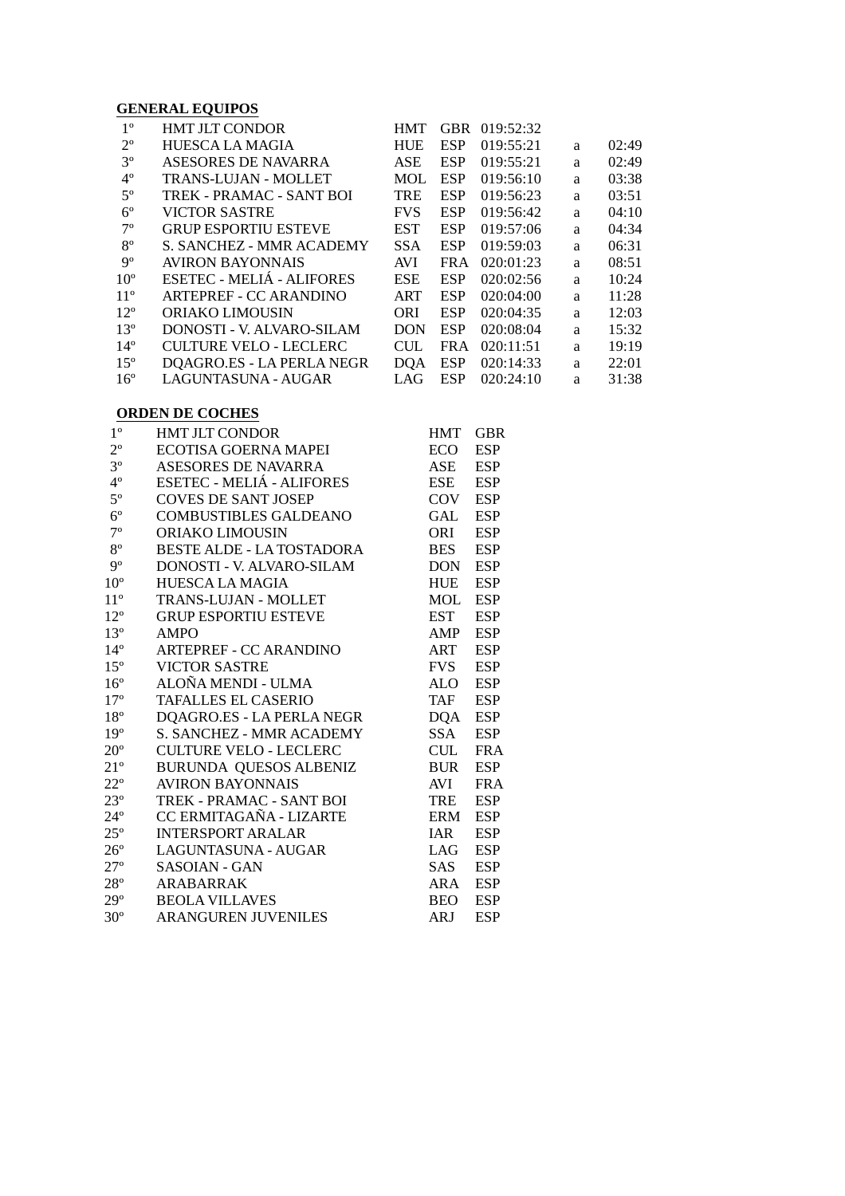#### **GENERAL EQUIPOS**

| $1^{\circ}$     | <b>HMT JLT CONDOR</b>           | <b>HMT</b> | <b>GBR</b> | 019:52:32 |   |       |
|-----------------|---------------------------------|------------|------------|-----------|---|-------|
| $2^{\circ}$     | <b>HUESCA LA MAGIA</b>          | <b>HUE</b> | <b>ESP</b> | 019:55:21 | a | 02:49 |
| $3^{\circ}$     | ASESORES DE NAVARRA             | ASE        | <b>ESP</b> | 019:55:21 | a | 02:49 |
| $4^{\circ}$     | <b>TRANS-LUJAN - MOLLET</b>     | <b>MOL</b> | <b>ESP</b> | 019:56:10 | a | 03:38 |
| $5^{\circ}$     | TREK - PRAMAC - SANT BOI        | <b>TRE</b> | <b>ESP</b> | 019:56:23 | a | 03:51 |
| $6^{\circ}$     | <b>VICTOR SASTRE</b>            | <b>FVS</b> | <b>ESP</b> | 019:56:42 | a | 04:10 |
| $7^{\circ}$     | <b>GRUP ESPORTIU ESTEVE</b>     | EST        | <b>ESP</b> | 019:57:06 | a | 04:34 |
| $8^{\circ}$     | <b>S. SANCHEZ - MMR ACADEMY</b> | <b>SSA</b> | <b>ESP</b> | 019:59:03 | a | 06:31 |
| $9^{\circ}$     | AVIRON BAYONNAIS                | <b>AVI</b> | <b>FRA</b> | 020:01:23 | a | 08:51 |
| 10 <sup>o</sup> | ESETEC - MELIÁ - ALIFORES       | <b>ESE</b> | <b>ESP</b> | 020:02:56 | a | 10:24 |
| $11^{\circ}$    | <b>ARTEPREF - CC ARANDINO</b>   | <b>ART</b> | <b>ESP</b> | 020:04:00 | a | 11:28 |
| $12^{\circ}$    | ORIAKO LIMOUSIN                 | <b>ORI</b> | <b>ESP</b> | 020:04:35 | a | 12:03 |
| $13^{\circ}$    | DONOSTI - V. ALVARO-SILAM       | <b>DON</b> | <b>ESP</b> | 020:08:04 | a | 15:32 |
| $14^{\circ}$    | <b>CULTURE VELO - LECLERC</b>   | <b>CUL</b> | <b>FRA</b> | 020:11:51 | a | 19:19 |
| $15^{\circ}$    | DQAGRO.ES - LA PERLA NEGR       | DOA        | <b>ESP</b> | 020:14:33 | a | 22:01 |
| $16^{\circ}$    | LAGUNTASUNA - AUGAR             | LAG        | <b>ESP</b> | 020:24:10 | a | 31:38 |

#### **ORDEN DE COCHES**

| $1^{\circ}$  | <b>HMT JLT CONDOR</b>            | <b>HMT</b> | <b>GBR</b> |
|--------------|----------------------------------|------------|------------|
| $2^{\circ}$  | <b>ECOTISA GOERNA MAPEI</b>      | ECO.       | <b>ESP</b> |
| $3^{\circ}$  | <b>ASESORES DE NAVARRA</b>       | <b>ASE</b> | <b>ESP</b> |
| $4^{\circ}$  | ESETEC - MELIÁ - ALIFORES        | ESE        | <b>ESP</b> |
| $5^{\circ}$  | <b>COVES DE SANT JOSEP</b>       | COV        | <b>ESP</b> |
| $6^{\circ}$  | <b>COMBUSTIBLES GALDEANO</b>     | <b>GAL</b> | <b>ESP</b> |
| $7^{\circ}$  | ORIAKO LIMOUSIN                  | ORI        | <b>ESP</b> |
| $8^{\rm o}$  | <b>BESTE ALDE - LA TOSTADORA</b> | <b>BES</b> | <b>ESP</b> |
| $9^{\circ}$  | DONOSTI - V. ALVARO-SILAM        | DON.       | <b>ESP</b> |
| $10^{\circ}$ | <b>HUESCA LA MAGIA</b>           | <b>HUE</b> | <b>ESP</b> |
| $11^{\circ}$ | <b>TRANS-LUJAN - MOLLET</b>      | MOL        | <b>ESP</b> |
| $12^{\circ}$ | <b>GRUP ESPORTIU ESTEVE</b>      | EST        | <b>ESP</b> |
| $13^{\circ}$ | <b>AMPO</b>                      | AMP        | <b>ESP</b> |
| $14^{\circ}$ | <b>ARTEPREF - CC ARANDINO</b>    | ART        | <b>ESP</b> |
| $15^{\circ}$ | <b>VICTOR SASTRE</b>             | <b>FVS</b> | <b>ESP</b> |
| $16^{\circ}$ | ALOÑA MENDI - ULMA               | <b>ALO</b> | <b>ESP</b> |
| $17^{\circ}$ | <b>TAFALLES EL CASERIO</b>       | TAF        | <b>ESP</b> |
| $18^{\circ}$ | DQAGRO.ES - LA PERLA NEGR        | DQA        | <b>ESP</b> |
| $19^{\circ}$ | <b>S. SANCHEZ - MMR ACADEMY</b>  | <b>SSA</b> | <b>ESP</b> |
| $20^{\circ}$ | <b>CULTURE VELO - LECLERC</b>    | <b>CUL</b> | <b>FRA</b> |
| $21^{\circ}$ | <b>BURUNDA QUESOS ALBENIZ</b>    | <b>BUR</b> | <b>ESP</b> |
| $22^{\circ}$ | <b>AVIRON BAYONNAIS</b>          | <b>AVI</b> | <b>FRA</b> |
| $23^{\circ}$ | TREK - PRAMAC - SANT BOI         | TRE        | <b>ESP</b> |
| $24^{\circ}$ | CC ERMITAGAÑA - LIZARTE          | <b>ERM</b> | <b>ESP</b> |
| $25^{\circ}$ | <b>INTERSPORT ARALAR</b>         | <b>IAR</b> | <b>ESP</b> |
| $26^{\circ}$ | LAGUNTASUNA - AUGAR              | LAG        | <b>ESP</b> |
| $27^{\circ}$ | <b>SASOIAN - GAN</b>             | SAS.       | <b>ESP</b> |
| $28^{\circ}$ | ARABARRAK                        | ARA        | <b>ESP</b> |
| $29^{\circ}$ | <b>BEOLA VILLAVES</b>            | BEO.       | <b>ESP</b> |
| $30^{\circ}$ | <b>ARANGUREN JUVENILES</b>       | ARJ        | <b>ESP</b> |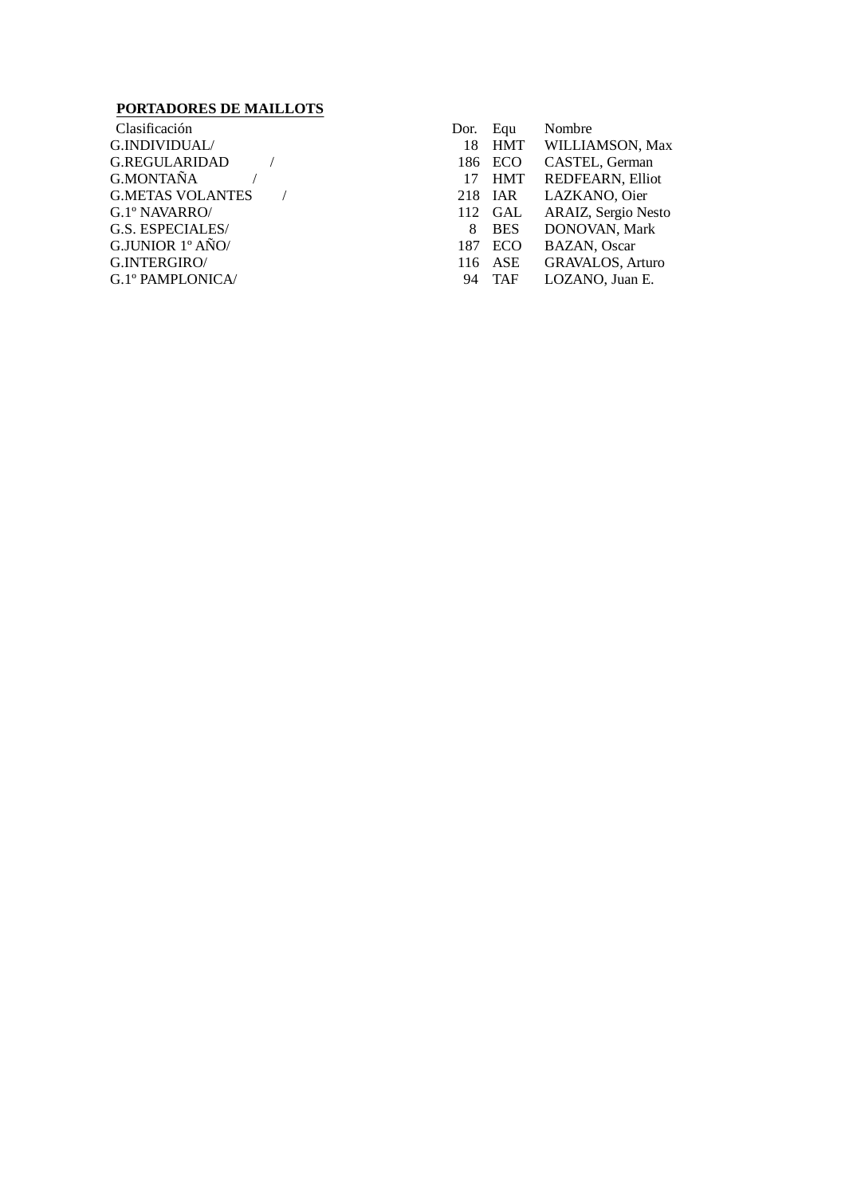## **PORTADORES DE MAILLOTS**

| - Clasificación         |  |  |
|-------------------------|--|--|
| G.INDIVIDUAL/           |  |  |
| <b>G.REGULARIDAD</b>    |  |  |
| <b>G.MONTAÑA</b>        |  |  |
| <b>G.METAS VOLANTES</b> |  |  |
| G.1° NAVARRO/           |  |  |
| G.S. ESPECIALES/        |  |  |
| G.JUNIOR 1º AÑO/        |  |  |
| G.INTERGIRO/            |  |  |
| G.1º PAMPLONICA/        |  |  |

| Clasificación           | Dor. | Equ     | Nombre                  |
|-------------------------|------|---------|-------------------------|
| G.INDIVIDUAL/           |      |         | 18 HMT WILLIAMSON, Max  |
| G.REGULARIDAD           |      | 186 ECO | CASTEL, German          |
| G.MONTAÑA               |      |         | 17 HMT REDFEARN, Elliot |
| <b>G.METAS VOLANTES</b> |      | 218 IAR | LAZKANO, Oier           |
| G.1º NAVARRO/           |      | 112 GAL | ARAIZ, Sergio Nesto     |
| <b>G.S. ESPECIALES/</b> | 8    | BES     | DONOVAN, Mark           |
| G.JUNIOR 1º AÑO/        |      | 187 ECO | <b>BAZAN, Oscar</b>     |
| G.INTERGIRO/            |      | 116 ASE | <b>GRAVALOS, Arturo</b> |
| G.1° PAMPLONICA/        | 94   | TAF     | LOZANO, Juan E.         |
|                         |      |         |                         |